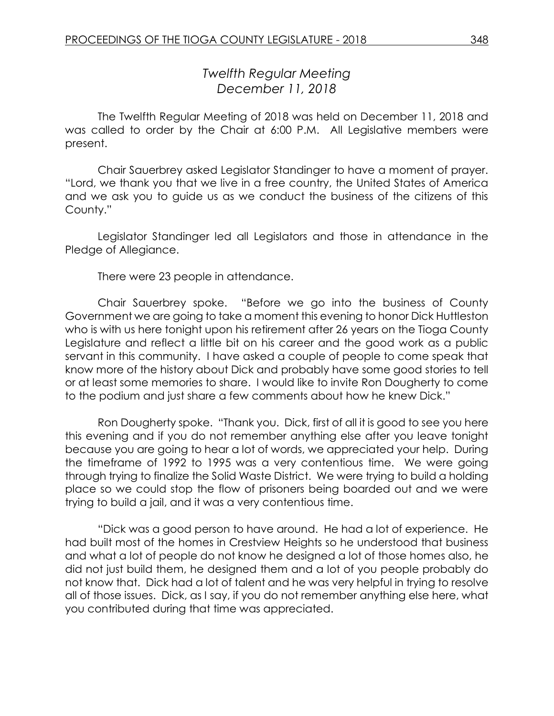# *Twelfth Regular Meeting December 11, 2018*

The Twelfth Regular Meeting of 2018 was held on December 11, 2018 and was called to order by the Chair at 6:00 P.M. All Legislative members were present.

Chair Sauerbrey asked Legislator Standinger to have a moment of prayer. "Lord, we thank you that we live in a free country, the United States of America and we ask you to guide us as we conduct the business of the citizens of this County."

Legislator Standinger led all Legislators and those in attendance in the Pledge of Allegiance.

There were 23 people in attendance.

Chair Sauerbrey spoke. "Before we go into the business of County Government we are going to take a moment this evening to honor Dick Huttleston who is with us here tonight upon his retirement after 26 years on the Tioga County Legislature and reflect a little bit on his career and the good work as a public servant in this community. I have asked a couple of people to come speak that know more of the history about Dick and probably have some good stories to tell or at least some memories to share. I would like to invite Ron Dougherty to come to the podium and just share a few comments about how he knew Dick."

Ron Dougherty spoke. "Thank you. Dick, first of all it is good to see you here this evening and if you do not remember anything else after you leave tonight because you are going to hear a lot of words, we appreciated your help. During the timeframe of 1992 to 1995 was a very contentious time. We were going through trying to finalize the Solid Waste District. We were trying to build a holding place so we could stop the flow of prisoners being boarded out and we were trying to build a jail, and it was a very contentious time.

"Dick was a good person to have around. He had a lot of experience. He had built most of the homes in Crestview Heights so he understood that business and what a lot of people do not know he designed a lot of those homes also, he did not just build them, he designed them and a lot of you people probably do not know that. Dick had a lot of talent and he was very helpful in trying to resolve all of those issues. Dick, as I say, if you do not remember anything else here, what you contributed during that time was appreciated.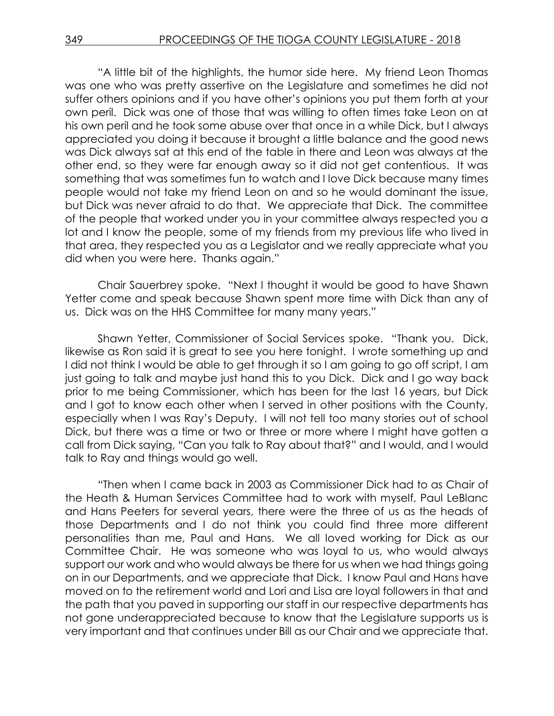"A little bit of the highlights, the humor side here. My friend Leon Thomas was one who was pretty assertive on the Legislature and sometimes he did not suffer others opinions and if you have other's opinions you put them forth at your own peril. Dick was one of those that was willing to often times take Leon on at his own peril and he took some abuse over that once in a while Dick, but I always appreciated you doing it because it brought a little balance and the good news was Dick always sat at this end of the table in there and Leon was always at the other end, so they were far enough away so it did not get contentious. It was something that was sometimes fun to watch and I love Dick because many times people would not take my friend Leon on and so he would dominant the issue, but Dick was never afraid to do that. We appreciate that Dick. The committee of the people that worked under you in your committee always respected you a lot and I know the people, some of my friends from my previous life who lived in that area, they respected you as a Legislator and we really appreciate what you did when you were here. Thanks again."

Chair Sauerbrey spoke. "Next I thought it would be good to have Shawn Yetter come and speak because Shawn spent more time with Dick than any of us. Dick was on the HHS Committee for many many years."

Shawn Yetter, Commissioner of Social Services spoke. "Thank you. Dick, likewise as Ron said it is great to see you here tonight. I wrote something up and I did not think I would be able to get through it so I am going to go off script, I am just going to talk and maybe just hand this to you Dick. Dick and I go way back prior to me being Commissioner, which has been for the last 16 years, but Dick and I got to know each other when I served in other positions with the County, especially when I was Ray's Deputy. I will not tell too many stories out of school Dick, but there was a time or two or three or more where I might have gotten a call from Dick saying, "Can you talk to Ray about that?" and I would, and I would talk to Ray and things would go well.

"Then when I came back in 2003 as Commissioner Dick had to as Chair of the Heath & Human Services Committee had to work with myself, Paul LeBlanc and Hans Peeters for several years, there were the three of us as the heads of those Departments and I do not think you could find three more different personalities than me, Paul and Hans. We all loved working for Dick as our Committee Chair. He was someone who was loyal to us, who would always support our work and who would always be there for us when we had things going on in our Departments, and we appreciate that Dick. I know Paul and Hans have moved on to the retirement world and Lori and Lisa are loyal followers in that and the path that you paved in supporting our staff in our respective departments has not gone underappreciated because to know that the Legislature supports us is very important and that continues under Bill as our Chair and we appreciate that.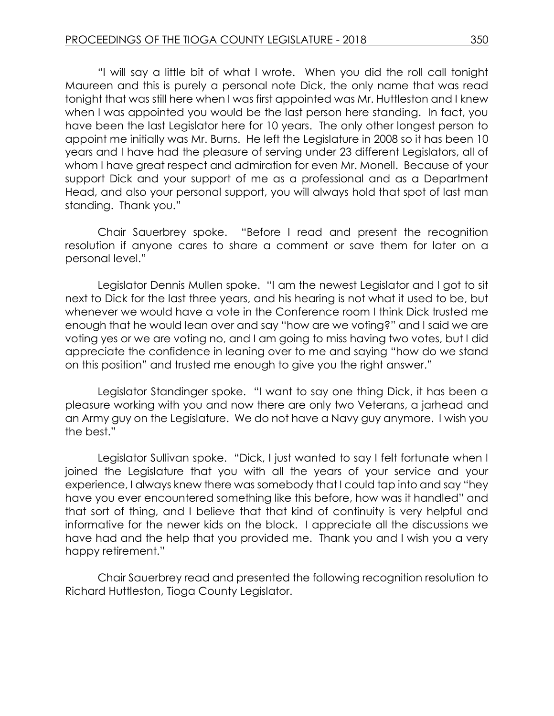"I will say a little bit of what I wrote. When you did the roll call tonight Maureen and this is purely a personal note Dick, the only name that was read tonight that was still here when I was first appointed was Mr. Huttleston and I knew when I was appointed you would be the last person here standing. In fact, you have been the last Legislator here for 10 years. The only other longest person to appoint me initially was Mr. Burns. He left the Legislature in 2008 so it has been 10 years and I have had the pleasure of serving under 23 different Legislators, all of whom I have great respect and admiration for even Mr. Monell. Because of your support Dick and your support of me as a professional and as a Department Head, and also your personal support, you will always hold that spot of last man standing. Thank you."

Chair Sauerbrey spoke. "Before I read and present the recognition resolution if anyone cares to share a comment or save them for later on a personal level."

Legislator Dennis Mullen spoke. "I am the newest Legislator and I got to sit next to Dick for the last three years, and his hearing is not what it used to be, but whenever we would have a vote in the Conference room I think Dick trusted me enough that he would lean over and say "how are we voting?" and I said we are voting yes or we are voting no, and I am going to miss having two votes, but I did appreciate the confidence in leaning over to me and saying "how do we stand on this position" and trusted me enough to give you the right answer."

Legislator Standinger spoke. "I want to say one thing Dick, it has been a pleasure working with you and now there are only two Veterans, a jarhead and an Army guy on the Legislature. We do not have a Navy guy anymore. I wish you the best."

Legislator Sullivan spoke. "Dick, I just wanted to say I felt fortunate when I joined the Legislature that you with all the years of your service and your experience, I always knew there was somebody that I could tap into and say "hey have you ever encountered something like this before, how was it handled" and that sort of thing, and I believe that that kind of continuity is very helpful and informative for the newer kids on the block. I appreciate all the discussions we have had and the help that you provided me. Thank you and I wish you a very happy retirement."

Chair Sauerbrey read and presented the following recognition resolution to Richard Huttleston, Tioga County Legislator.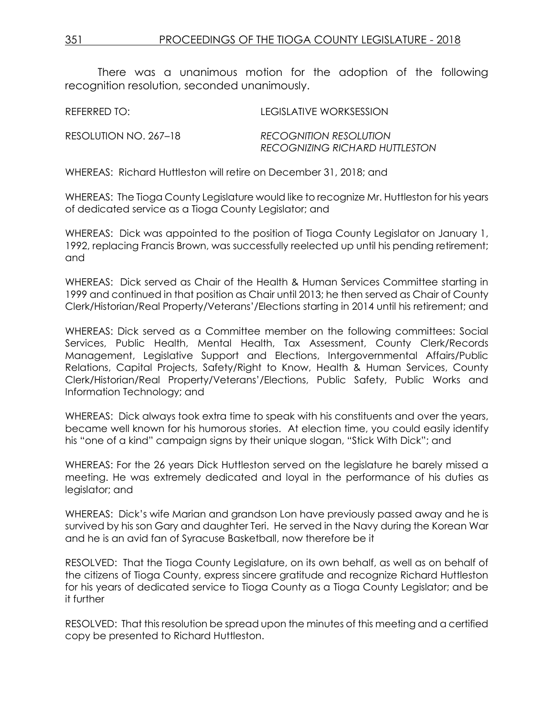There was a unanimous motion for the adoption of the following recognition resolution, seconded unanimously.

| REFERRED TO:          | LEGISLATIVE WORKSESSION                                         |
|-----------------------|-----------------------------------------------------------------|
| RESOLUTION NO. 267–18 | <b>RECOGNITION RESOLUTION</b><br>RECOGNIZING RICHARD HUTTLESTON |

WHEREAS: Richard Huttleston will retire on December 31, 2018; and

WHEREAS: The Tioga County Legislature would like to recognize Mr. Huttleston for his years of dedicated service as a Tioga County Legislator; and

WHEREAS: Dick was appointed to the position of Tioga County Legislator on January 1, 1992, replacing Francis Brown, was successfully reelected up until his pending retirement; and

WHEREAS: Dick served as Chair of the Health & Human Services Committee starting in 1999 and continued in that position as Chair until 2013; he then served as Chair of County Clerk/Historian/Real Property/Veterans'/Elections starting in 2014 until his retirement; and

WHEREAS: Dick served as a Committee member on the following committees: Social Services, Public Health, Mental Health, Tax Assessment, County Clerk/Records Management, Legislative Support and Elections, Intergovernmental Affairs/Public Relations, Capital Projects, Safety/Right to Know, Health & Human Services, County Clerk/Historian/Real Property/Veterans'/Elections, Public Safety, Public Works and Information Technology; and

WHEREAS: Dick always took extra time to speak with his constituents and over the years, became well known for his humorous stories. At election time, you could easily identify his "one of a kind" campaign signs by their unique slogan, "Stick With Dick"; and

WHEREAS: For the 26 years Dick Huttleston served on the legislature he barely missed a meeting. He was extremely dedicated and loyal in the performance of his duties as legislator; and

WHEREAS: Dick's wife Marian and grandson Lon have previously passed away and he is survived by his son Gary and daughter Teri. He served in the Navy during the Korean War and he is an avid fan of Syracuse Basketball, now therefore be it

RESOLVED: That the Tioga County Legislature, on its own behalf, as well as on behalf of the citizens of Tioga County, express sincere gratitude and recognize Richard Huttleston for his years of dedicated service to Tioga County as a Tioga County Legislator; and be it further

RESOLVED: That this resolution be spread upon the minutes of this meeting and a certified copy be presented to Richard Huttleston.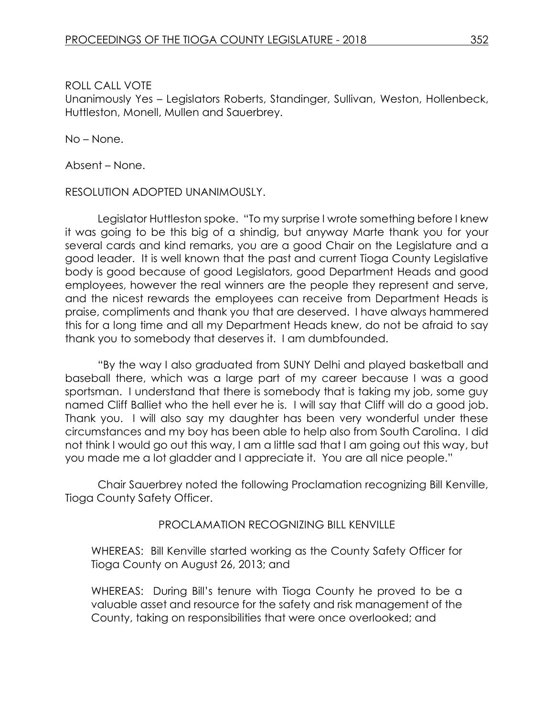Unanimously Yes – Legislators Roberts, Standinger, Sullivan, Weston, Hollenbeck, Huttleston, Monell, Mullen and Sauerbrey.

No – None.

Absent – None.

### RESOLUTION ADOPTED UNANIMOUSLY.

Legislator Huttleston spoke. "To my surprise I wrote something before I knew it was going to be this big of a shindig, but anyway Marte thank you for your several cards and kind remarks, you are a good Chair on the Legislature and a good leader. It is well known that the past and current Tioga County Legislative body is good because of good Legislators, good Department Heads and good employees, however the real winners are the people they represent and serve, and the nicest rewards the employees can receive from Department Heads is praise, compliments and thank you that are deserved. I have always hammered this for a long time and all my Department Heads knew, do not be afraid to say thank you to somebody that deserves it. I am dumbfounded.

"By the way I also graduated from SUNY Delhi and played basketball and baseball there, which was a large part of my career because I was a good sportsman. I understand that there is somebody that is taking my job, some guy named Cliff Balliet who the hell ever he is. I will say that Cliff will do a good job. Thank you. I will also say my daughter has been very wonderful under these circumstances and my boy has been able to help also from South Carolina. I did not think I would go out this way, I am a little sad that I am going out this way, but you made me a lot gladder and I appreciate it. You are all nice people."

Chair Sauerbrey noted the following Proclamation recognizing Bill Kenville, Tioga County Safety Officer.

# PROCLAMATION RECOGNIZING BILL KENVILLE

WHEREAS: Bill Kenville started working as the County Safety Officer for Tioga County on August 26, 2013; and

WHEREAS: During Bill's tenure with Tioga County he proved to be a valuable asset and resource for the safety and risk management of the County, taking on responsibilities that were once overlooked; and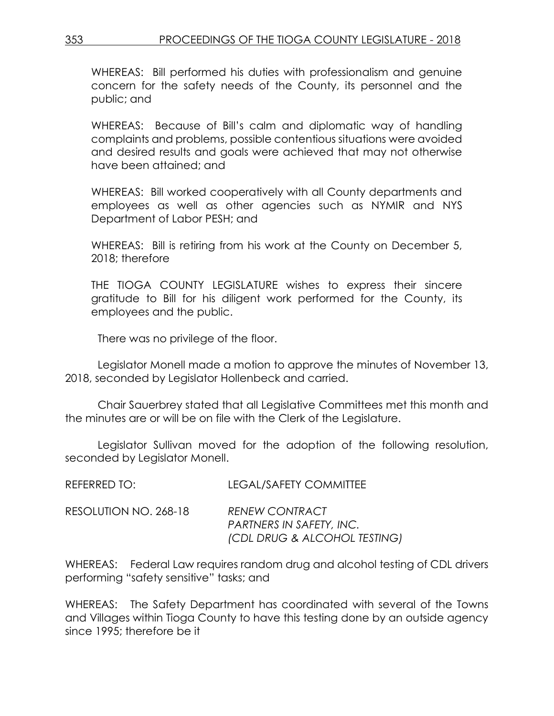WHEREAS: Bill performed his duties with professionalism and genuine concern for the safety needs of the County, its personnel and the public; and

WHEREAS: Because of Bill's calm and diplomatic way of handling complaints and problems, possible contentious situations were avoided and desired results and goals were achieved that may not otherwise have been attained; and

WHEREAS: Bill worked cooperatively with all County departments and employees as well as other agencies such as NYMIR and NYS Department of Labor PESH; and

WHEREAS: Bill is retiring from his work at the County on December 5, 2018; therefore

THE TIOGA COUNTY LEGISLATURE wishes to express their sincere gratitude to Bill for his diligent work performed for the County, its employees and the public.

There was no privilege of the floor.

Legislator Monell made a motion to approve the minutes of November 13, 2018, seconded by Legislator Hollenbeck and carried.

Chair Sauerbrey stated that all Legislative Committees met this month and the minutes are or will be on file with the Clerk of the Legislature.

Legislator Sullivan moved for the adoption of the following resolution, seconded by Legislator Monell.

| REFERRED TO:          | <b>LEGAL/SAFETY COMMITTEE</b>                                                            |
|-----------------------|------------------------------------------------------------------------------------------|
| RESOLUTION NO. 268-18 | <b>RENEW CONTRACT</b><br><b>PARTNERS IN SAFETY, INC.</b><br>(CDL DRUG & ALCOHOL TESTING) |

WHEREAS: Federal Law requires random drug and alcohol testing of CDL drivers performing "safety sensitive" tasks; and

WHEREAS: The Safety Department has coordinated with several of the Towns and Villages within Tioga County to have this testing done by an outside agency since 1995; therefore be it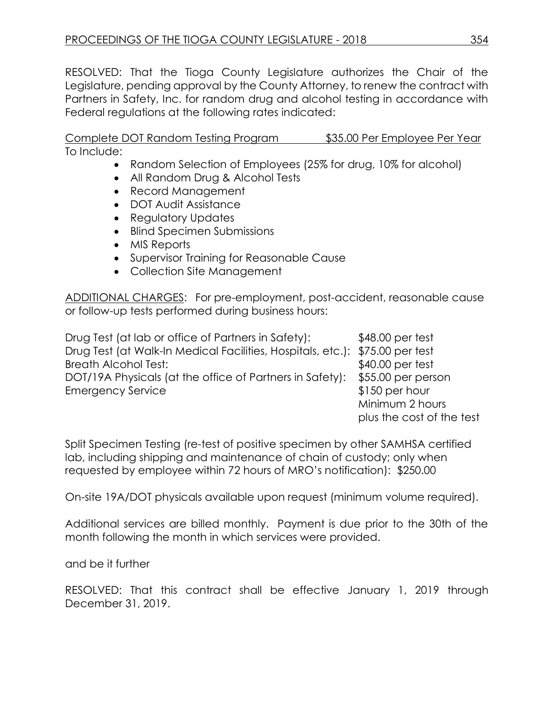RESOLVED: That the Tioga County Legislature authorizes the Chair of the Legislature, pending approval by the County Attorney, to renew the contract with Partners in Safety, Inc. for random drug and alcohol testing in accordance with Federal regulations at the following rates indicated:

Complete DOT Random Testing Program \$35.00 Per Employee Per Year To Include:

- Random Selection of Employees (25% for drug, 10% for alcohol)
- All Random Drug & Alcohol Tests
- Record Management
- DOT Audit Assistance
- Regulatory Updates
- Blind Specimen Submissions
- MIS Reports
- Supervisor Training for Reasonable Cause
- Collection Site Management

ADDITIONAL CHARGES: For pre-employment, post-accident, reasonable cause or follow-up tests performed during business hours:

Drug Test (at lab or office of Partners in Safety): \$48.00 per test Drug Test (at Walk-In Medical Facilities, Hospitals, etc.): \$75.00 per test Breath Alcohol Test:  $$40.00$  per test DOT/19A Physicals (at the office of Partners in Safety): \$55.00 per person Emergency Service  $$150$  per hour Minimum 2 hours

plus the cost of the test

Split Specimen Testing (re-test of positive specimen by other SAMHSA certified lab, including shipping and maintenance of chain of custody; only when requested by employee within 72 hours of MRO's notification): \$250.00

On-site 19A/DOT physicals available upon request (minimum volume required).

Additional services are billed monthly. Payment is due prior to the 30th of the month following the month in which services were provided.

and be it further

RESOLVED: That this contract shall be effective January 1, 2019 through December 31, 2019.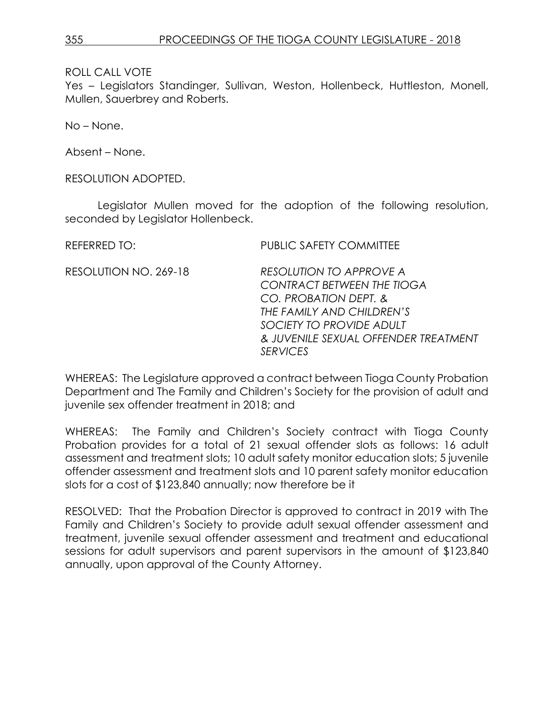Yes – Legislators Standinger, Sullivan, Weston, Hollenbeck, Huttleston, Monell, Mullen, Sauerbrey and Roberts.

No – None.

Absent – None.

RESOLUTION ADOPTED.

Legislator Mullen moved for the adoption of the following resolution, seconded by Legislator Hollenbeck.

| REFERRED TO:          | <b>PUBLIC SAFETY COMMITTEE</b>                                                                                                                                                                                   |
|-----------------------|------------------------------------------------------------------------------------------------------------------------------------------------------------------------------------------------------------------|
| RESOLUTION NO. 269-18 | <b>RESOLUTION TO APPROVE A</b><br><b>CONTRACT BETWEEN THE TIOGA</b><br>CO. PROBATION DEPT. &<br>THE FAMILY AND CHILDREN'S<br>SOCIETY TO PROVIDE ADULT<br>& JUVENILE SEXUAL OFFENDER TREATMENT<br><b>SERVICES</b> |
|                       |                                                                                                                                                                                                                  |

WHEREAS: The Legislature approved a contract between Tioga County Probation Department and The Family and Children's Society for the provision of adult and juvenile sex offender treatment in 2018; and

WHEREAS: The Family and Children's Society contract with Tioga County Probation provides for a total of 21 sexual offender slots as follows: 16 adult assessment and treatment slots; 10 adult safety monitor education slots; 5 juvenile offender assessment and treatment slots and 10 parent safety monitor education slots for a cost of \$123,840 annually; now therefore be it

RESOLVED: That the Probation Director is approved to contract in 2019 with The Family and Children's Society to provide adult sexual offender assessment and treatment, juvenile sexual offender assessment and treatment and educational sessions for adult supervisors and parent supervisors in the amount of \$123,840 annually, upon approval of the County Attorney.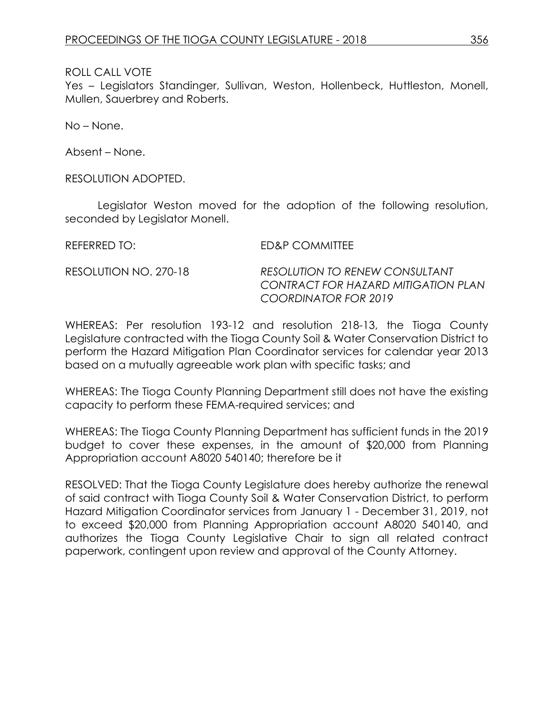Yes – Legislators Standinger, Sullivan, Weston, Hollenbeck, Huttleston, Monell, Mullen, Sauerbrey and Roberts.

No – None.

Absent – None.

RESOLUTION ADOPTED.

Legislator Weston moved for the adoption of the following resolution, seconded by Legislator Monell.

REFERRED TO: ED&P COMMITTEE RESOLUTION NO. 270-18 *RESOLUTION TO RENEW CONSULTANT CONTRACT FOR HAZARD MITIGATION PLAN COORDINATOR FOR 2019*

WHEREAS: Per resolution 193-12 and resolution 218-13, the Tioga County Legislature contracted with the Tioga County Soil & Water Conservation District to perform the Hazard Mitigation Plan Coordinator services for calendar year 2013 based on a mutually agreeable work plan with specific tasks; and

WHEREAS: The Tioga County Planning Department still does not have the existing capacity to perform these FEMA-required services; and

WHEREAS: The Tioga County Planning Department has sufficient funds in the 2019 budget to cover these expenses, in the amount of \$20,000 from Planning Appropriation account A8020 540140; therefore be it

RESOLVED: That the Tioga County Legislature does hereby authorize the renewal of said contract with Tioga County Soil & Water Conservation District, to perform Hazard Mitigation Coordinator services from January 1 - December 31, 2019, not to exceed \$20,000 from Planning Appropriation account A8020 540140, and authorizes the Tioga County Legislative Chair to sign all related contract paperwork, contingent upon review and approval of the County Attorney.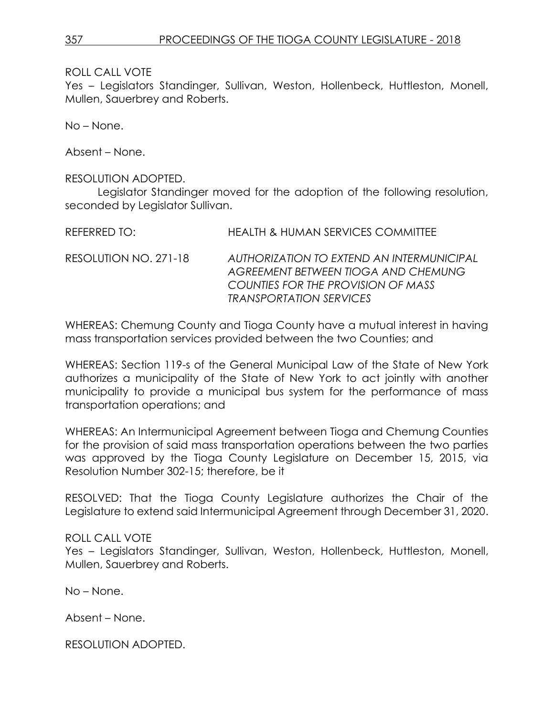Yes – Legislators Standinger, Sullivan, Weston, Hollenbeck, Huttleston, Monell, Mullen, Sauerbrey and Roberts.

No – None.

Absent – None.

### RESOLUTION ADOPTED.

Legislator Standinger moved for the adoption of the following resolution, seconded by Legislator Sullivan.

| RFFFRRFD TO:          | HEALTH & HUMAN SERVICES COMMITTEE                                                                                                                               |
|-----------------------|-----------------------------------------------------------------------------------------------------------------------------------------------------------------|
| RESOLUTION NO. 271-18 | AUTHORIZATION TO EXTEND AN INTERMUNICIPAL<br>AGREEMENT BETWEEN TIOGA AND CHEMUNG<br>COUNTIES FOR THE PROVISION OF MASS<br><i><b>TRANSPORTATION SERVICES</b></i> |

WHEREAS: Chemung County and Tioga County have a mutual interest in having mass transportation services provided between the two Counties; and

WHEREAS: Section 119-s of the General Municipal Law of the State of New York authorizes a municipality of the State of New York to act jointly with another municipality to provide a municipal bus system for the performance of mass transportation operations; and

WHEREAS: An Intermunicipal Agreement between Tioga and Chemung Counties for the provision of said mass transportation operations between the two parties was approved by the Tioga County Legislature on December 15, 2015, via Resolution Number 302-15; therefore, be it

RESOLVED: That the Tioga County Legislature authorizes the Chair of the Legislature to extend said Intermunicipal Agreement through December 31, 2020.

# ROLL CALL VOTE

Yes – Legislators Standinger, Sullivan, Weston, Hollenbeck, Huttleston, Monell, Mullen, Sauerbrey and Roberts.

No – None.

Absent – None.

RESOLUTION ADOPTED.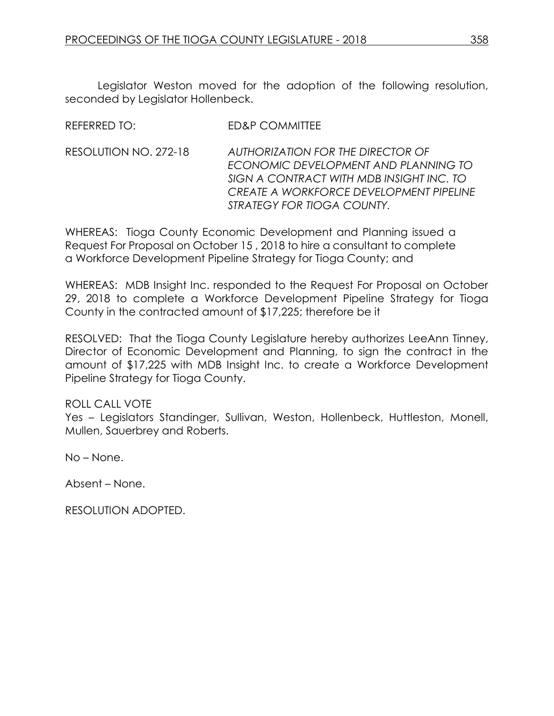REFERRED TO: ED&P COMMITTEE

Legislator Weston moved for the adoption of the following resolution, seconded by Legislator Hollenbeck.

| AUTHORIZATION FOR THE DIRECTOR OF                                                                                           |
|-----------------------------------------------------------------------------------------------------------------------------|
| ECONOMIC DEVELOPMENT AND PLANNING TO<br>SIGN A CONTRACT WITH MDB INSIGHT INC. TO<br>CREATE A WORKFORCE DEVELOPMENT PIPELINE |
| STRATEGY FOR TIOGA COUNTY.                                                                                                  |
|                                                                                                                             |

WHEREAS: Tioga County Economic Development and Planning issued a Request For Proposal on October 15 , 2018 to hire a consultant to complete a Workforce Development Pipeline Strategy for Tioga County; and

WHEREAS: MDB Insight Inc. responded to the Request For Proposal on October 29, 2018 to complete a Workforce Development Pipeline Strategy for Tioga County in the contracted amount of \$17,225; therefore be it

RESOLVED: That the Tioga County Legislature hereby authorizes LeeAnn Tinney, Director of Economic Development and Planning, to sign the contract in the amount of \$17,225 with MDB Insight Inc. to create a Workforce Development Pipeline Strategy for Tioga County.

# ROLL CALL VOTE

Yes - Legislators Standinger, Sullivan, Weston, Hollenbeck, Huttleston, Monell, Mullen, Sauerbrey and Roberts.

No – None.

Absent – None.

RESOLUTION ADOPTED.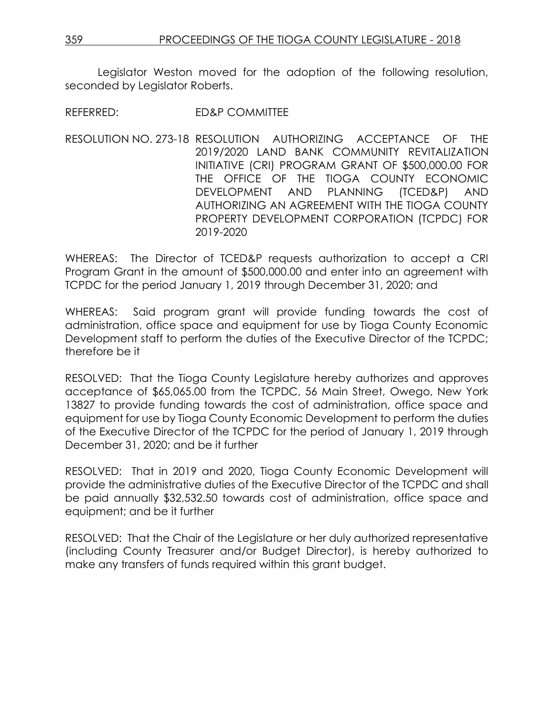Legislator Weston moved for the adoption of the following resolution, seconded by Leaislator Roberts.

REFERRED: ED&P COMMITTEE

RESOLUTION NO. 273-18 RESOLUTION AUTHORIZING ACCEPTANCE OF THE 2019/2020 LAND BANK COMMUNITY REVITALIZATION INITIATIVE (CRI) PROGRAM GRANT OF \$500,000.00 FOR THE OFFICE OF THE TIOGA COUNTY ECONOMIC DEVELOPMENT AND PLANNING (TCED&P) AND AUTHORIZING AN AGREEMENT WITH THE TIOGA COUNTY PROPERTY DEVELOPMENT CORPORATION (TCPDC) FOR 2019-2020

WHEREAS: The Director of TCED&P requests authorization to accept a CRI Program Grant in the amount of \$500,000.00 and enter into an agreement with TCPDC for the period January 1, 2019 through December 31, 2020; and

WHEREAS: Said program grant will provide funding towards the cost of administration, office space and equipment for use by Tioga County Economic Development staff to perform the duties of the Executive Director of the TCPDC; therefore be it

RESOLVED: That the Tioga County Legislature hereby authorizes and approves acceptance of \$65,065.00 from the TCPDC, 56 Main Street, Owego, New York 13827 to provide funding towards the cost of administration, office space and equipment for use by Tioga County Economic Development to perform the duties of the Executive Director of the TCPDC for the period of January 1, 2019 through December 31, 2020; and be it further

RESOLVED: That in 2019 and 2020, Tioga County Economic Development will provide the administrative duties of the Executive Director of the TCPDC and shall be paid annually \$32,532.50 towards cost of administration, office space and equipment; and be it further

RESOLVED: That the Chair of the Legislature or her duly authorized representative (including County Treasurer and/or Budget Director), is hereby authorized to make any transfers of funds required within this grant budget.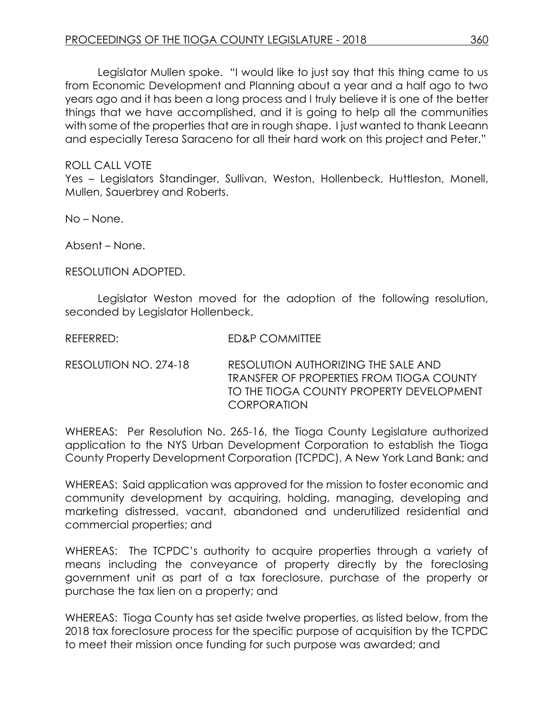Legislator Mullen spoke. "I would like to just say that this thing came to us from Economic Development and Planning about a year and a half ago to two years ago and it has been a long process and I truly believe it is one of the better things that we have accomplished, and it is going to help all the communities with some of the properties that are in rough shape. I just wanted to thank Leeann and especially Teresa Saraceno for all their hard work on this project and Peter."

### ROLL CALL VOTE

Yes – Legislators Standinger, Sullivan, Weston, Hollenbeck, Huttleston, Monell, Mullen, Sauerbrey and Roberts.

No – None.

Absent – None.

RESOLUTION ADOPTED.

Legislator Weston moved for the adoption of the following resolution, seconded by Legislator Hollenbeck.

REFERRED: ED&P COMMITTEE

RESOLUTION NO. 274-18 RESOLUTION AUTHORIZING THE SALE AND TRANSFER OF PROPERTIES FROM TIOGA COUNTY TO THE TIOGA COUNTY PROPERTY DEVELOPMENT **CORPORATION** 

WHEREAS: Per Resolution No. 265-16, the Tioga County Legislature authorized application to the NYS Urban Development Corporation to establish the Tioga County Property Development Corporation (TCPDC), A New York Land Bank; and

WHEREAS: Said application was approved for the mission to foster economic and community development by acquiring, holding, managing, developing and marketing distressed, vacant, abandoned and underutilized residential and commercial properties; and

WHEREAS: The TCPDC's authority to acquire properties through a variety of means including the conveyance of property directly by the foreclosing government unit as part of a tax foreclosure, purchase of the property or purchase the tax lien on a property; and

WHEREAS: Tioga County has set aside twelve properties, as listed below, from the 2018 tax foreclosure process for the specific purpose of acquisition by the TCPDC to meet their mission once funding for such purpose was awarded; and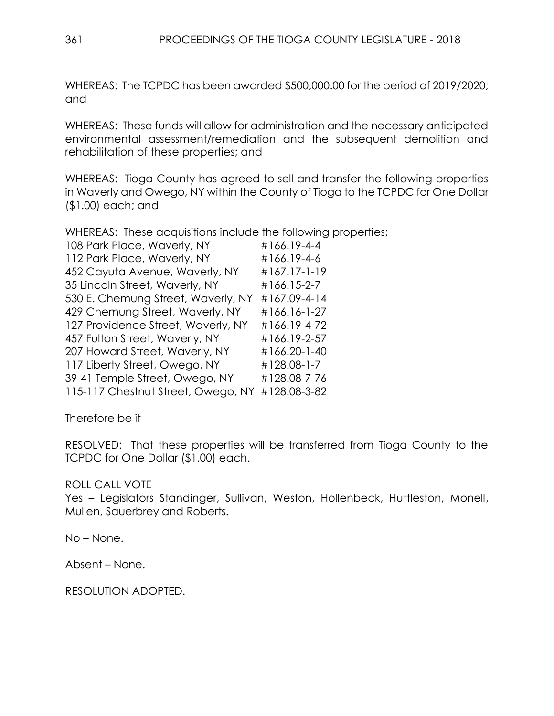WHEREAS: The TCPDC has been awarded \$500,000.00 for the period of 2019/2020; and

WHEREAS: These funds will allow for administration and the necessary anticipated environmental assessment/remediation and the subsequent demolition and rehabilitation of these properties; and

WHEREAS: Tioga County has agreed to sell and transfer the following properties in Waverly and Owego, NY within the County of Tioga to the TCPDC for One Dollar (\$1.00) each; and

WHEREAS: These acquisitions include the following properties;

| 108 Park Place, Waverly, NY        | #166.19-4-4  |
|------------------------------------|--------------|
| 112 Park Place, Waverly, NY        | #166.19-4-6  |
| 452 Cayuta Avenue, Waverly, NY     | #167.17-1-19 |
| 35 Lincoln Street, Waverly, NY     | #166.15-2-7  |
| 530 E. Chemung Street, Waverly, NY | #167.09-4-14 |
| 429 Chemung Street, Waverly, NY    | #166.16-1-27 |
| 127 Providence Street, Waverly, NY | #166.19-4-72 |
| 457 Fulton Street, Waverly, NY     | #166.19-2-57 |
| 207 Howard Street, Waverly, NY     | #166.20-1-40 |
| 117 Liberty Street, Owego, NY      | #128.08-1-7  |
| 39-41 Temple Street, Owego, NY     | #128.08-7-76 |
| 115-117 Chestnut Street, Owego, NY | #128.08-3-82 |
|                                    |              |

Therefore be it

RESOLVED: That these properties will be transferred from Tioga County to the TCPDC for One Dollar (\$1.00) each.

# ROLL CALL VOTE

Yes – Legislators Standinger, Sullivan, Weston, Hollenbeck, Huttleston, Monell, Mullen, Sauerbrey and Roberts.

No – None.

Absent – None.

RESOLUTION ADOPTED.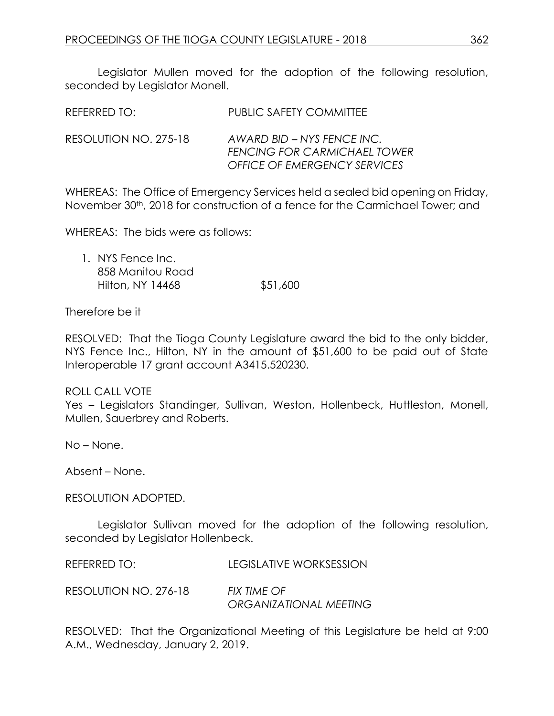Legislator Mullen moved for the adoption of the following resolution, seconded by Legislator Monell.

| REFERRED TO:          | <b>PUBLIC SAFETY COMMITTEE</b>                                                                           |
|-----------------------|----------------------------------------------------------------------------------------------------------|
| RESOLUTION NO. 275-18 | AWARD BID – NYS FENCE INC.<br><b>FENCING FOR CARMICHAEL TOWER</b><br><b>OFFICE OF EMERGENCY SERVICES</b> |

WHEREAS: The Office of Emergency Services held a sealed bid opening on Friday, November 30<sup>th</sup>, 2018 for construction of a fence for the Carmichael Tower; and

WHEREAS: The bids were as follows:

1. NYS Fence Inc. 858 Manitou Road Hilton, NY 14468 \$51,600

Therefore be it

RESOLVED: That the Tioga County Legislature award the bid to the only bidder, NYS Fence Inc., Hilton, NY in the amount of \$51,600 to be paid out of State Interoperable 17 grant account A3415.520230.

#### ROLL CALL VOTE

Yes – Legislators Standinger, Sullivan, Weston, Hollenbeck, Huttleston, Monell, Mullen, Sauerbrey and Roberts.

No – None.

Absent – None.

RESOLUTION ADOPTED.

Legislator Sullivan moved for the adoption of the following resolution, seconded by Legislator Hollenbeck.

REFERRED TO: LEGISLATIVE WORKSESSION

RESOLUTION NO. 276-18 *FIX TIME OF ORGANIZATIONAL MEETING*

RESOLVED: That the Organizational Meeting of this Legislature be held at 9:00 A.M., Wednesday, January 2, 2019.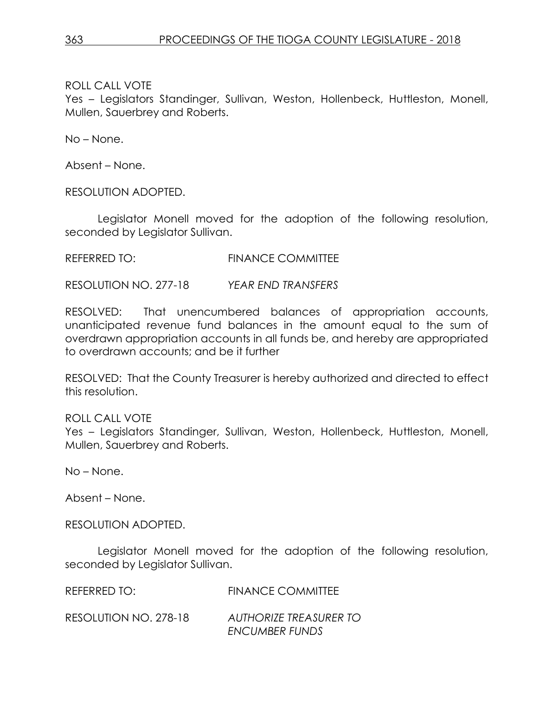Yes – Legislators Standinger, Sullivan, Weston, Hollenbeck, Huttleston, Monell, Mullen, Sauerbrey and Roberts.

No – None.

Absent – None.

RESOLUTION ADOPTED.

Legislator Monell moved for the adoption of the following resolution, seconded by Legislator Sullivan.

REFERRED TO: FINANCE COMMITTEE

RESOLUTION NO. 277-18 *YEAR END TRANSFERS*

RESOLVED: That unencumbered balances of appropriation accounts, unanticipated revenue fund balances in the amount equal to the sum of overdrawn appropriation accounts in all funds be, and hereby are appropriated to overdrawn accounts; and be it further

RESOLVED: That the County Treasurer is hereby authorized and directed to effect this resolution.

ROLL CALL VOTE Yes – Legislators Standinger, Sullivan, Weston, Hollenbeck, Huttleston, Monell, Mullen, Sauerbrey and Roberts.

No – None.

Absent – None.

RESOLUTION ADOPTED.

Legislator Monell moved for the adoption of the following resolution, seconded by Legislator Sullivan.

REFERRED TO: FINANCE COMMITTEE

RESOLUTION NO. 278-18 *AUTHORIZE TREASURER TO ENCUMBER FUNDS*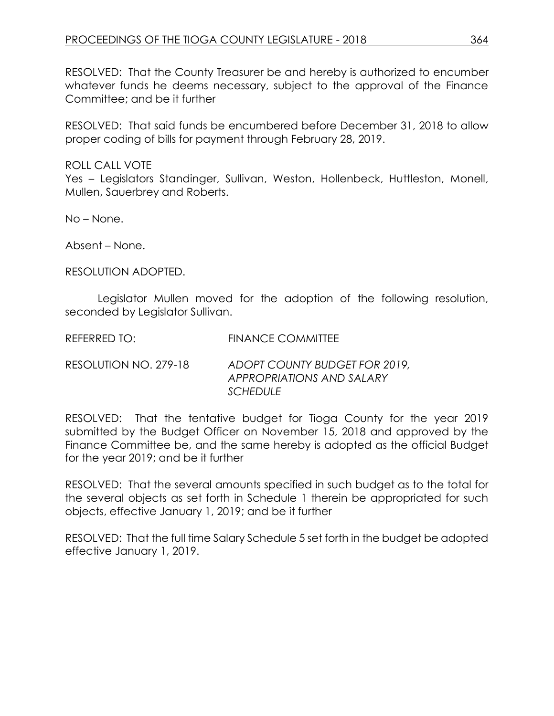RESOLVED: That the County Treasurer be and hereby is authorized to encumber whatever funds he deems necessary, subject to the approval of the Finance Committee; and be it further

RESOLVED: That said funds be encumbered before December 31, 2018 to allow proper coding of bills for payment through February 28, 2019.

ROLL CALL VOTE

Yes - Legislators Standinger, Sullivan, Weston, Hollenbeck, Huttleston, Monell, Mullen, Sauerbrey and Roberts.

No – None.

Absent – None.

RESOLUTION ADOPTED.

Legislator Mullen moved for the adoption of the following resolution, seconded by Legislator Sullivan.

REFERRED TO: FINANCE COMMITTEE

RESOLUTION NO. 279-18 *ADOPT COUNTY BUDGET FOR 2019, APPROPRIATIONS AND SALARY SCHEDULE*

RESOLVED: That the tentative budget for Tioga County for the year 2019 submitted by the Budget Officer on November 15, 2018 and approved by the Finance Committee be, and the same hereby is adopted as the official Budget for the year 2019; and be it further

RESOLVED: That the several amounts specified in such budget as to the total for the several objects as set forth in Schedule 1 therein be appropriated for such objects, effective January 1, 2019; and be it further

RESOLVED: That the full time Salary Schedule 5 set forth in the budget be adopted effective January 1, 2019.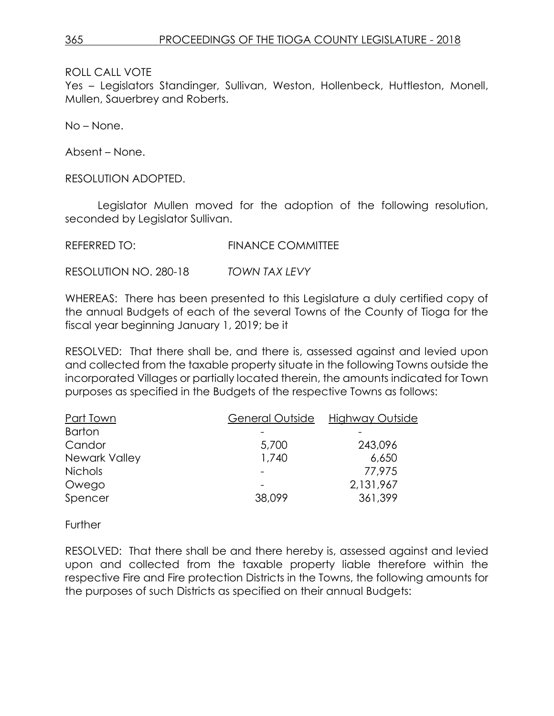Yes – Legislators Standinger, Sullivan, Weston, Hollenbeck, Huttleston, Monell, Mullen, Sauerbrey and Roberts.

No – None.

Absent – None.

RESOLUTION ADOPTED.

Legislator Mullen moved for the adoption of the following resolution, seconded by Legislator Sullivan.

REFERRED TO: FINANCE COMMITTEE

RESOLUTION NO. 280-18 *TOWN TAX LEVY*

WHEREAS: There has been presented to this Legislature a duly certified copy of the annual Budgets of each of the several Towns of the County of Tioga for the fiscal year beginning January 1, 2019; be it

RESOLVED: That there shall be, and there is, assessed against and levied upon and collected from the taxable property situate in the following Towns outside the incorporated Villages or partially located therein, the amounts indicated for Town purposes as specified in the Budgets of the respective Towns as follows:

| Part Town      | General Outside | Highway Outside |
|----------------|-----------------|-----------------|
| <b>Barton</b>  |                 |                 |
| Candor         | 5,700           | 243,096         |
| Newark Valley  | 1,740           | 6,650           |
| <b>Nichols</b> |                 | 77,975          |
| Owego          |                 | 2,131,967       |
| Spencer        | 38,099          | 361,399         |

**Further** 

RESOLVED: That there shall be and there hereby is, assessed against and levied upon and collected from the taxable property liable therefore within the respective Fire and Fire protection Districts in the Towns, the following amounts for the purposes of such Districts as specified on their annual Budgets: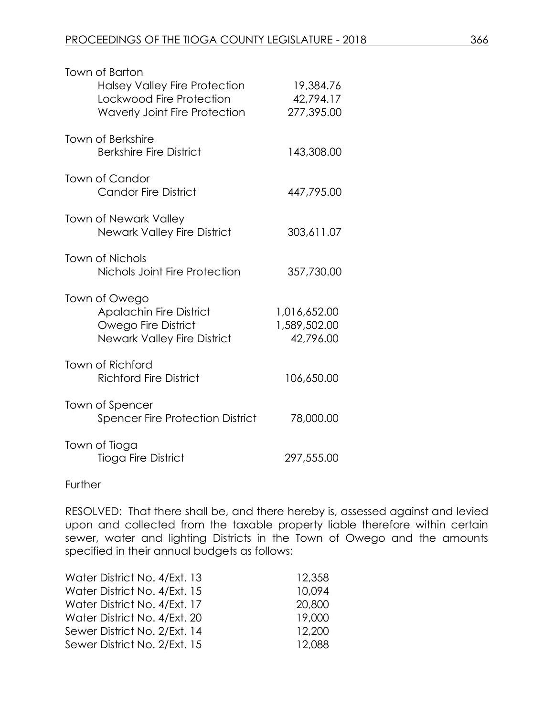| Town of Barton<br><b>Halsey Valley Fire Protection</b><br>Lockwood Fire Protection<br><b>Waverly Joint Fire Protection</b> | 19,384.76<br>42,794.17<br>277,395.00      |
|----------------------------------------------------------------------------------------------------------------------------|-------------------------------------------|
| <b>Town of Berkshire</b><br><b>Berkshire Fire District</b>                                                                 | 143,308.00                                |
| Town of Candor<br><b>Candor Fire District</b>                                                                              | 447,795.00                                |
| <b>Town of Newark Valley</b><br><b>Newark Valley Fire District</b>                                                         | 303,611.07                                |
| Town of Nichols<br>Nichols Joint Fire Protection                                                                           | 357,730.00                                |
| Town of Owego<br><b>Apalachin Fire District</b><br>Owego Fire District<br><b>Newark Valley Fire District</b>               | 1,016,652.00<br>1,589,502.00<br>42,796.00 |
| <b>Town of Richford</b><br><b>Richford Fire District</b>                                                                   | 106,650.00                                |
| Town of Spencer<br><b>Spencer Fire Protection District</b>                                                                 | 78,000.00                                 |
| Town of Tioga<br>Tioga Fire District                                                                                       | 297,555.00                                |

**Further** 

RESOLVED: That there shall be, and there hereby is, assessed against and levied upon and collected from the taxable property liable therefore within certain sewer, water and lighting Districts in the Town of Owego and the amounts specified in their annual budgets as follows:

| Water District No. 4/Ext. 13 | 12,358 |
|------------------------------|--------|
| Water District No. 4/Ext. 15 | 10.094 |
| Water District No. 4/Ext. 17 | 20,800 |
| Water District No. 4/Ext. 20 | 19,000 |
| Sewer District No. 2/Ext. 14 | 12,200 |
| Sewer District No. 2/Ext. 15 | 12,088 |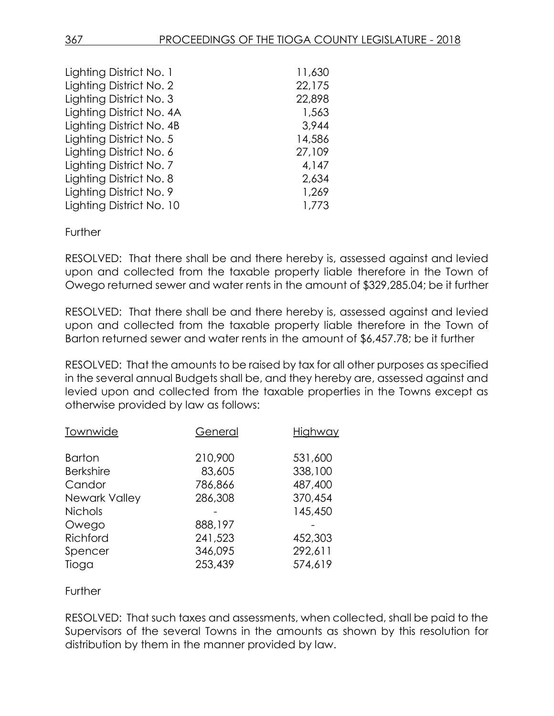| Lighting District No. 1  | 11,630 |
|--------------------------|--------|
| Lighting District No. 2  | 22,175 |
| Lighting District No. 3  | 22,898 |
| Lighting District No. 4A | 1,563  |
| Lighting District No. 4B | 3,944  |
| Lighting District No. 5  | 14,586 |
| Lighting District No. 6  | 27,109 |
| Lighting District No. 7  | 4,147  |
| Lighting District No. 8  | 2,634  |
| Lighting District No. 9  | 1,269  |
| Lighting District No. 10 | 1,773  |

Further

RESOLVED: That there shall be and there hereby is, assessed against and levied upon and collected from the taxable property liable therefore in the Town of Owego returned sewer and water rents in the amount of \$329,285.04; be it further

RESOLVED: That there shall be and there hereby is, assessed against and levied upon and collected from the taxable property liable therefore in the Town of Barton returned sewer and water rents in the amount of \$6,457.78; be it further

RESOLVED: That the amounts to be raised by tax for all other purposes as specified in the several annual Budgets shall be, and they hereby are, assessed against and levied upon and collected from the taxable properties in the Towns except as otherwise provided by law as follows:

| General | Highway |
|---------|---------|
| 210,900 | 531,600 |
| 83,605  | 338,100 |
| 786,866 | 487,400 |
| 286,308 | 370,454 |
|         | 145,450 |
| 888,197 |         |
| 241,523 | 452,303 |
| 346,095 | 292,611 |
| 253,439 | 574,619 |
|         |         |

**Further** 

RESOLVED: That such taxes and assessments, when collected, shall be paid to the Supervisors of the several Towns in the amounts as shown by this resolution for distribution by them in the manner provided by law.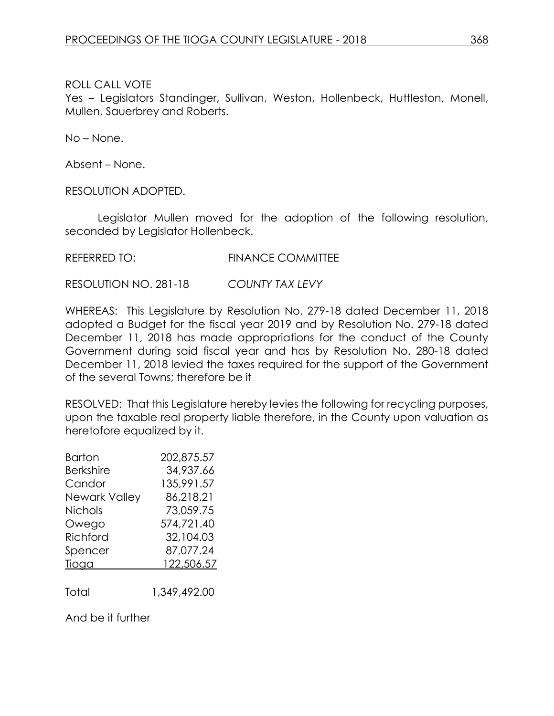Yes – Legislators Standinger, Sullivan, Weston, Hollenbeck, Huttleston, Monell, Mullen, Sauerbrey and Roberts.

No – None.

Absent – None.

RESOLUTION ADOPTED.

Legislator Mullen moved for the adoption of the following resolution, seconded by Legislator Hollenbeck.

REFERRED TO: FINANCE COMMITTEE

RESOLUTION NO. 281-18 *COUNTY TAX LEVY*

WHEREAS: This Legislature by Resolution No. 279-18 dated December 11, 2018 adopted a Budget for the fiscal year 2019 and by Resolution No. 279-18 dated December 11, 2018 has made appropriations for the conduct of the County Government during said fiscal year and has by Resolution No. 280-18 dated December 11, 2018 levied the taxes required for the support of the Government of the several Towns; therefore be it

RESOLVED: That this Legislature hereby levies the following for recycling purposes, upon the taxable real property liable therefore, in the County upon valuation as heretofore equalized by it.

| Barton               | 202,875.57 |
|----------------------|------------|
| <b>Berkshire</b>     | 34,937.66  |
| Candor               | 135,991.57 |
| <b>Newark Valley</b> | 86,218.21  |
| <b>Nichols</b>       | 73,059.75  |
| Owego                | 574,721.40 |
| Richford             | 32,104.03  |
| Spencer              | 87,077.24  |
| Tioga                | 122,506.57 |
|                      |            |

Total 1,349,492.00

And be it further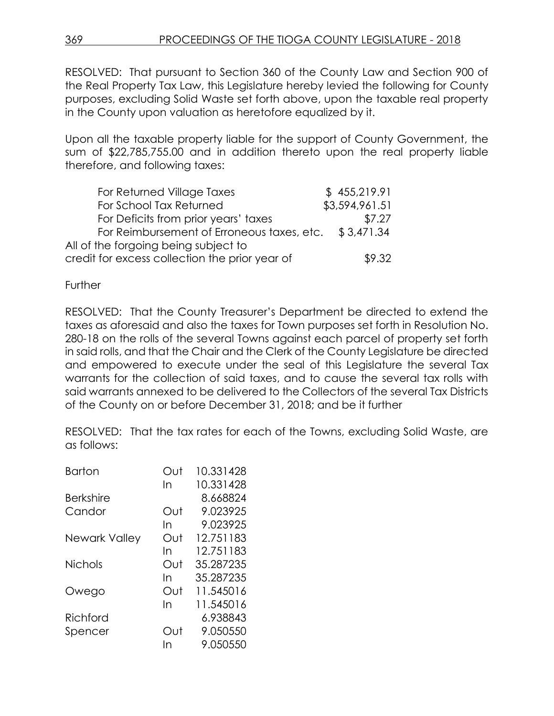RESOLVED: That pursuant to Section 360 of the County Law and Section 900 of the Real Property Tax Law, this Legislature hereby levied the following for County purposes, excluding Solid Waste set forth above, upon the taxable real property in the County upon valuation as heretofore equalized by it.

Upon all the taxable property liable for the support of County Government, the sum of \$22,785,755.00 and in addition thereto upon the real property liable therefore, and following taxes:

| For Returned Village Taxes                     | \$455,219.91   |
|------------------------------------------------|----------------|
| For School Tax Returned                        | \$3,594,961.51 |
| For Deficits from prior years' taxes           | \$7.27         |
| For Reimbursement of Erroneous taxes, etc.     | \$3,471,34     |
| All of the forgoing being subject to           |                |
| credit for excess collection the prior year of | \$9.32         |

**Further** 

RESOLVED: That the County Treasurer's Department be directed to extend the taxes as aforesaid and also the taxes for Town purposes set forth in Resolution No. 280-18 on the rolls of the several Towns against each parcel of property set forth in said rolls, and that the Chair and the Clerk of the County Legislature be directed and empowered to execute under the seal of this Legislature the several Tax warrants for the collection of said taxes, and to cause the several tax rolls with said warrants annexed to be delivered to the Collectors of the several Tax Districts of the County on or before December 31, 2018; and be it further

RESOLVED: That the tax rates for each of the Towns, excluding Solid Waste, are as follows:

| <b>Barton</b>    | Out | 10.331428 |
|------------------|-----|-----------|
|                  | In  | 10.331428 |
| <b>Berkshire</b> |     | 8.668824  |
| Candor           | Out | 9.023925  |
|                  | In  | 9.023925  |
| Newark Valley    | Out | 12.751183 |
|                  | In  | 12.751183 |
| <b>Nichols</b>   | Out | 35.287235 |
|                  | In  | 35.287235 |
| Owego            | Out | 11.545016 |
|                  | In  | 11.545016 |
| Richford         |     | 6.938843  |
| Spencer          | Out | 9.050550  |
|                  | In  | 9.050550  |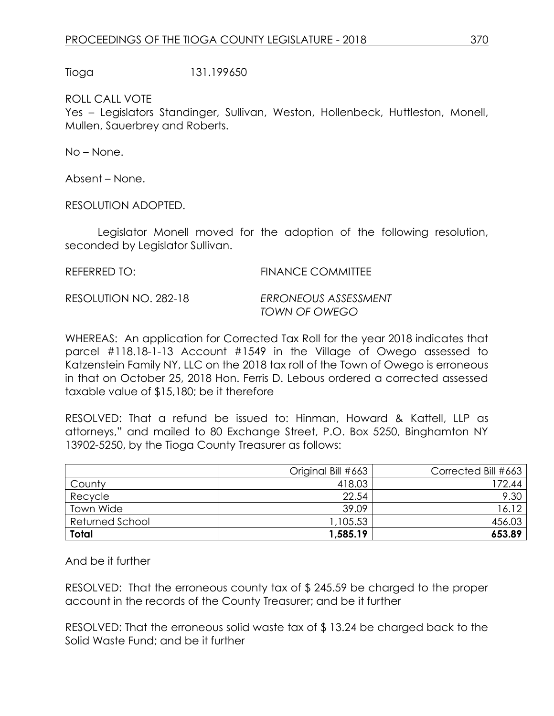Tioga 131.199650

ROLL CALL VOTE

Yes – Legislators Standinger, Sullivan, Weston, Hollenbeck, Huttleston, Monell, Mullen, Sauerbrey and Roberts.

No – None.

Absent – None.

RESOLUTION ADOPTED.

Legislator Monell moved for the adoption of the following resolution, seconded by Legislator Sullivan.

REFERRED TO: FINANCE COMMITTEE

RESOLUTION NO. 282-18 *ERRONEOUS ASSESSMENT TOWN OF OWEGO*

WHEREAS: An application for Corrected Tax Roll for the year 2018 indicates that parcel #118.18-1-13 Account #1549 in the Village of Owego assessed to Katzenstein Family NY, LLC on the 2018 tax roll of the Town of Owego is erroneous in that on October 25, 2018 Hon. Ferris D. Lebous ordered a corrected assessed taxable value of \$15,180; be it therefore

RESOLVED: That a refund be issued to: Hinman, Howard & Kattell, LLP as attorneys," and mailed to 80 Exchange Street, P.O. Box 5250, Binghamton NY 13902-5250, by the Tioga County Treasurer as follows:

|                 | Original Bill #663 | Corrected Bill #663 |
|-----------------|--------------------|---------------------|
| County          | 418.03             | 172.44              |
| Recycle         | 22.54              | 9.30                |
| Town Wide       | 39.09              | 16.12               |
| Returned School | 1,105.53           | 456.03              |
| <b>Total</b>    | 1,585.19           | 653.89              |

And be it further

RESOLVED: That the erroneous county tax of \$ 245.59 be charged to the proper account in the records of the County Treasurer; and be it further

RESOLVED: That the erroneous solid waste tax of \$ 13.24 be charged back to the Solid Waste Fund; and be it further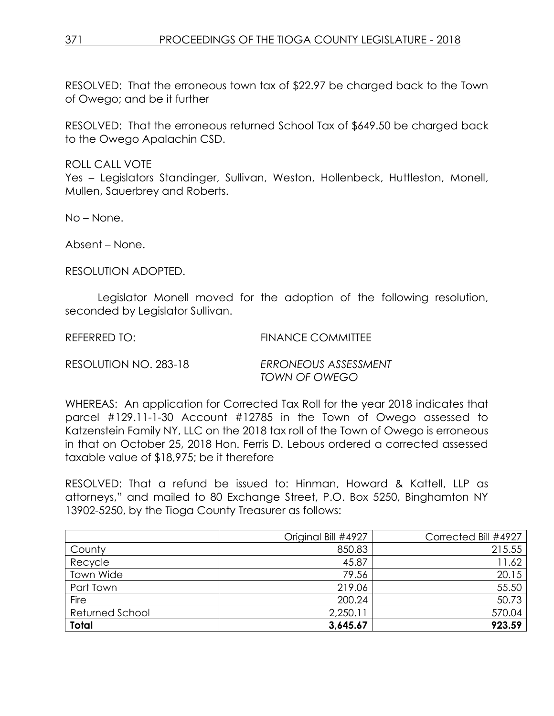RESOLVED: That the erroneous town tax of \$22.97 be charged back to the Town of Owego; and be it further

RESOLVED: That the erroneous returned School Tax of \$649.50 be charged back to the Owego Apalachin CSD.

ROLL CALL VOTE

Yes – Legislators Standinger, Sullivan, Weston, Hollenbeck, Huttleston, Monell, Mullen, Sauerbrey and Roberts.

No – None.

Absent – None.

RESOLUTION ADOPTED.

Legislator Monell moved for the adoption of the following resolution, seconded by Legislator Sullivan.

REFERRED TO: FINANCE COMMITTEE

RESOLUTION NO. 283-18 *ERRONEOUS ASSESSMENT TOWN OF OWEGO*

WHEREAS: An application for Corrected Tax Roll for the year 2018 indicates that parcel #129.11-1-30 Account #12785 in the Town of Owego assessed to Katzenstein Family NY, LLC on the 2018 tax roll of the Town of Owego is erroneous in that on October 25, 2018 Hon. Ferris D. Lebous ordered a corrected assessed taxable value of \$18,975; be it therefore

RESOLVED: That a refund be issued to: Hinman, Howard & Kattell, LLP as attorneys," and mailed to 80 Exchange Street, P.O. Box 5250, Binghamton NY 13902-5250, by the Tioga County Treasurer as follows:

|                 | Original Bill #4927 | Corrected Bill #4927 |
|-----------------|---------------------|----------------------|
| County          | 850.83              | 215.55               |
| Recycle         | 45.87               | 11.62                |
| Town Wide       | 79.56               | 20.15                |
| Part Town       | 219.06              | 55.50                |
| Fire            | 200.24              | 50.73                |
| Returned School | 2,250.11            | 570.04               |
| <b>Total</b>    | 3,645.67            | 923.59               |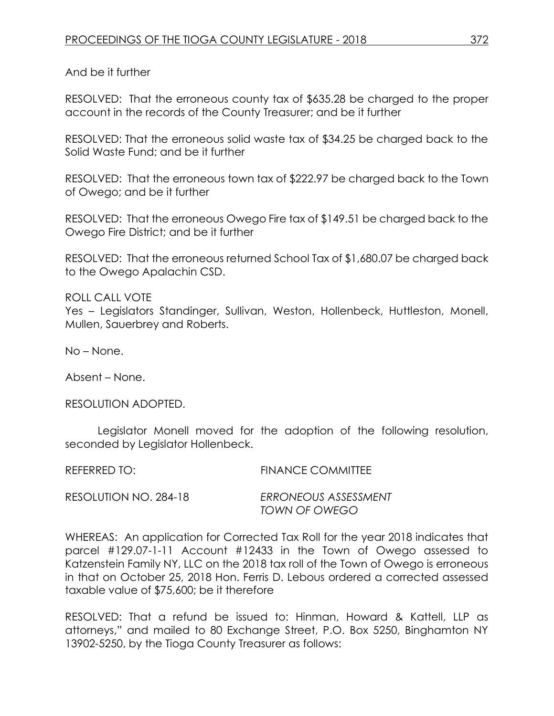And be it further

RESOLVED: That the erroneous county tax of \$635.28 be charged to the proper account in the records of the County Treasurer; and be it further

RESOLVED: That the erroneous solid waste tax of \$34.25 be charged back to the Solid Waste Fund; and be it further

RESOLVED: That the erroneous town tax of \$222.97 be charged back to the Town of Owego; and be it further

RESOLVED: That the erroneous Owego Fire tax of \$149.51 be charged back to the Owego Fire District; and be it further

RESOLVED: That the erroneous returned School Tax of \$1,680.07 be charged back to the Owego Apalachin CSD.

ROLL CALL VOTE Yes – Legislators Standinger, Sullivan, Weston, Hollenbeck, Huttleston, Monell, Mullen, Sauerbrey and Roberts.

No – None.

Absent – None.

RESOLUTION ADOPTED.

Legislator Monell moved for the adoption of the following resolution, seconded by Legislator Hollenbeck.

REFERRED TO: FINANCE COMMITTEE

RESOLUTION NO. 284-18 *ERRONEOUS ASSESSMENT*

*TOWN OF OWEGO*

WHEREAS: An application for Corrected Tax Roll for the year 2018 indicates that parcel #129.07-1-11 Account #12433 in the Town of Owego assessed to Katzenstein Family NY, LLC on the 2018 tax roll of the Town of Owego is erroneous in that on October 25, 2018 Hon. Ferris D. Lebous ordered a corrected assessed taxable value of \$75,600; be it therefore

RESOLVED: That a refund be issued to: Hinman, Howard & Kattell, LLP as attorneys," and mailed to 80 Exchange Street, P.O. Box 5250, Binghamton NY 13902-5250, by the Tioga County Treasurer as follows: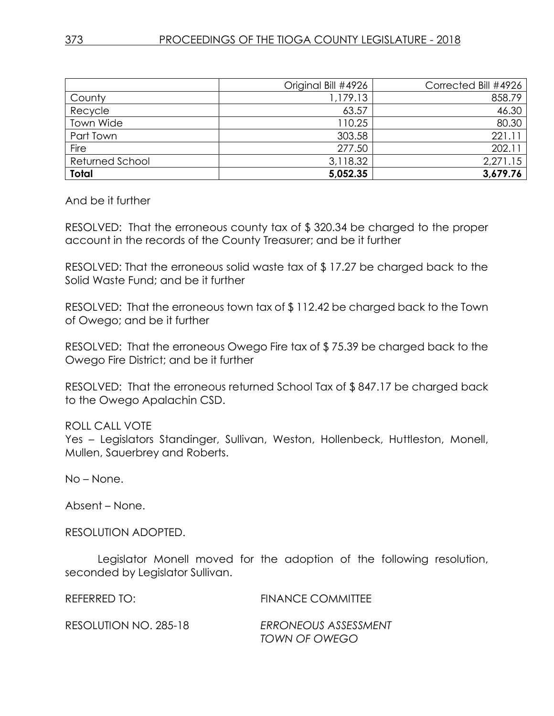|                 | Original Bill #4926 | Corrected Bill #4926 |
|-----------------|---------------------|----------------------|
| County          | 1,179.13            | 858.79               |
| Recycle         | 63.57               | 46.30                |
| Town Wide       | 110.25              | 80.30                |
| Part Town       | 303.58              | 221.1                |
| Fire            | 277.50              | 202.11               |
| Returned School | 3,118.32            | 2,271.15             |
| <b>Total</b>    | 5,052.35            | 3,679.76             |

And be it further

RESOLVED: That the erroneous county tax of \$ 320.34 be charged to the proper account in the records of the County Treasurer; and be it further

RESOLVED: That the erroneous solid waste tax of \$ 17.27 be charged back to the Solid Waste Fund; and be it further

RESOLVED: That the erroneous town tax of \$ 112.42 be charged back to the Town of Owego; and be it further

RESOLVED: That the erroneous Owego Fire tax of \$ 75.39 be charged back to the Owego Fire District; and be it further

RESOLVED: That the erroneous returned School Tax of \$ 847.17 be charged back to the Owego Apalachin CSD.

ROLL CALL VOTE

Yes – Legislators Standinger, Sullivan, Weston, Hollenbeck, Huttleston, Monell, Mullen, Sauerbrey and Roberts.

No – None.

Absent – None.

RESOLUTION ADOPTED.

Legislator Monell moved for the adoption of the following resolution, seconded by Legislator Sullivan.

REFERRED TO: FINANCE COMMITTEE

RESOLUTION NO. 285-18 *ERRONEOUS ASSESSMENT TOWN OF OWEGO*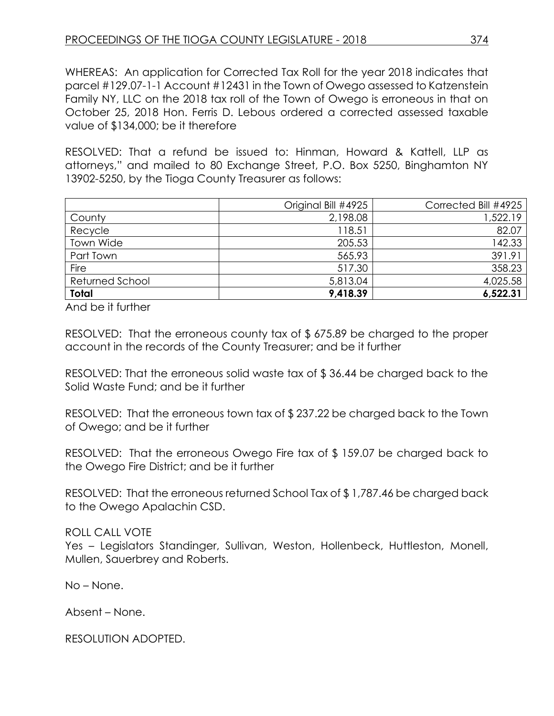WHEREAS: An application for Corrected Tax Roll for the year 2018 indicates that parcel #129.07-1-1 Account #12431 in the Town of Owego assessed to Katzenstein Family NY, LLC on the 2018 tax roll of the Town of Owego is erroneous in that on October 25, 2018 Hon. Ferris D. Lebous ordered a corrected assessed taxable value of \$134,000; be it therefore

RESOLVED: That a refund be issued to: Hinman, Howard & Kattell, LLP as attorneys," and mailed to 80 Exchange Street, P.O. Box 5250, Binghamton NY 13902-5250, by the Tioga County Treasurer as follows:

|                 | Original Bill #4925 | Corrected Bill #4925 |
|-----------------|---------------------|----------------------|
| County          | 2,198.08            | 1,522.19             |
| Recycle         | 118.51              | 82.07                |
| Town Wide       | 205.53              | 142.33               |
| Part Town       | 565.93              | 391.91               |
| Fire            | 517.30              | 358.23               |
| Returned School | 5,813.04            | 4,025.58             |
| Total           | 9,418.39            | 6,522.31             |

And be it further

RESOLVED: That the erroneous county tax of \$ 675.89 be charged to the proper account in the records of the County Treasurer; and be it further

RESOLVED: That the erroneous solid waste tax of \$ 36.44 be charged back to the Solid Waste Fund; and be it further

RESOLVED: That the erroneous town tax of \$ 237.22 be charged back to the Town of Owego; and be it further

RESOLVED: That the erroneous Owego Fire tax of \$ 159.07 be charged back to the Owego Fire District; and be it further

RESOLVED: That the erroneous returned School Tax of \$ 1,787.46 be charged back to the Owego Apalachin CSD.

# ROLL CALL VOTE

Yes – Legislators Standinger, Sullivan, Weston, Hollenbeck, Huttleston, Monell, Mullen, Sauerbrey and Roberts.

No – None.

Absent – None.

RESOLUTION ADOPTED.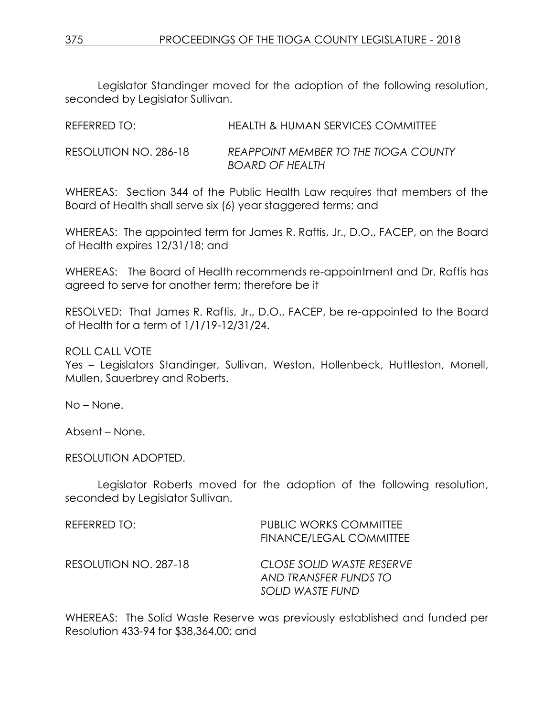Legislator Standinger moved for the adoption of the following resolution, seconded by Legislator Sullivan.

| REFERRED TO:          | <b>HEALTH &amp; HUMAN SERVICES COMMITTEE</b> |
|-----------------------|----------------------------------------------|
| RESOLUTION NO. 286-18 | REAPPOINT MEMBER TO THE TIOGA COUNTY         |
|                       | <b>BOARD OF HEALTH</b>                       |

WHEREAS: Section 344 of the Public Health Law requires that members of the Board of Health shall serve six (6) year staggered terms; and

WHEREAS: The appointed term for James R. Raftis, Jr., D.O., FACEP, on the Board of Health expires 12/31/18; and

WHEREAS: The Board of Health recommends re-appointment and Dr. Raftis has agreed to serve for another term; therefore be it

RESOLVED: That James R. Raftis, Jr., D.O., FACEP, be re-appointed to the Board of Health for a term of 1/1/19-12/31/24.

ROLL CALL VOTE

Yes – Legislators Standinger, Sullivan, Weston, Hollenbeck, Huttleston, Monell, Mullen, Sauerbrey and Roberts.

No – None.

Absent – None.

RESOLUTION ADOPTED.

Legislator Roberts moved for the adoption of the following resolution, seconded by Legislator Sullivan.

| REFERRED TO:          | <b>PUBLIC WORKS COMMITTEE</b><br><b>FINANCE/LEGAL COMMITTEE</b>        |
|-----------------------|------------------------------------------------------------------------|
| RESOLUTION NO. 287-18 | CLOSE SOLID WASTE RESERVE<br>AND TRANSFER FUNDS TO<br>SOLID WASTE FUND |

WHEREAS: The Solid Waste Reserve was previously established and funded per Resolution 433-94 for \$38,364.00; and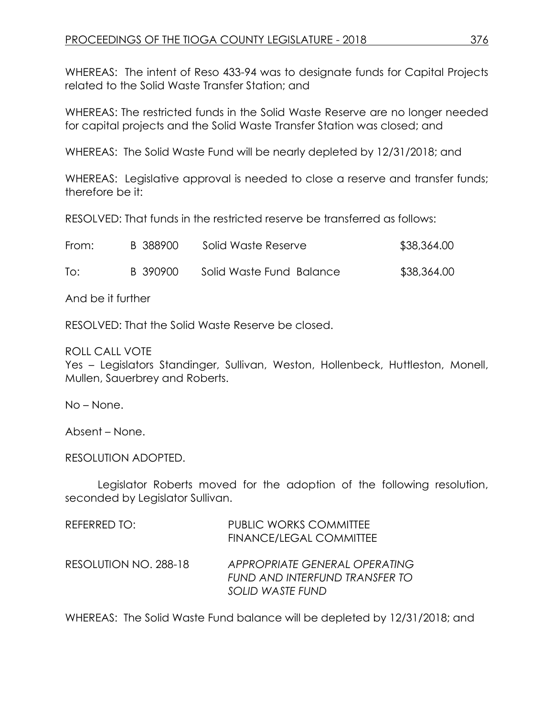WHEREAS: The intent of Reso 433-94 was to designate funds for Capital Projects related to the Solid Waste Transfer Station; and

WHEREAS: The restricted funds in the Solid Waste Reserve are no longer needed for capital projects and the Solid Waste Transfer Station was closed; and

WHEREAS: The Solid Waste Fund will be nearly depleted by 12/31/2018; and

WHEREAS: Legislative approval is needed to close a reserve and transfer funds; therefore be it:

RESOLVED: That funds in the restricted reserve be transferred as follows:

| From: | B 388900 | Solid Waste Reserve      | \$38,364.00 |
|-------|----------|--------------------------|-------------|
| To:   | B 390900 | Solid Waste Fund Balance | \$38,364.00 |

And be it further

RESOLVED: That the Solid Waste Reserve be closed.

ROLL CALL VOTE

Yes – Legislators Standinger, Sullivan, Weston, Hollenbeck, Huttleston, Monell, Mullen, Sauerbrey and Roberts.

No – None.

Absent – None.

RESOLUTION ADOPTED.

Legislator Roberts moved for the adoption of the following resolution, seconded by Legislator Sullivan.

| REFERRED TO:          | <b>PUBLIC WORKS COMMITTEE</b><br><b>FINANCE/LEGAL COMMITTEE</b>                     |
|-----------------------|-------------------------------------------------------------------------------------|
| RESOLUTION NO. 288-18 | APPROPRIATE GENERAL OPERATING<br>FUND AND INTERFUND TRANSFER TO<br>SOLID WASTE FUND |

WHEREAS: The Solid Waste Fund balance will be depleted by 12/31/2018; and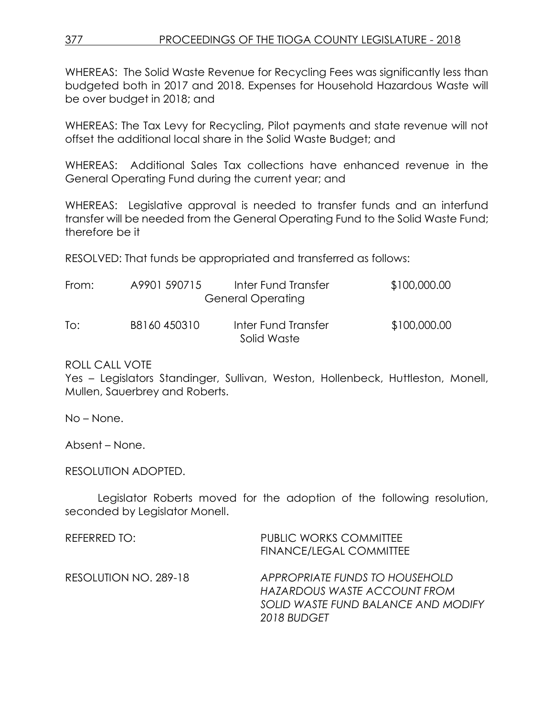WHEREAS: The Solid Waste Revenue for Recycling Fees was significantly less than budgeted both in 2017 and 2018. Expenses for Household Hazardous Waste will be over budget in 2018; and

WHEREAS: The Tax Levy for Recycling, Pilot payments and state revenue will not offset the additional local share in the Solid Waste Budget; and

WHEREAS: Additional Sales Tax collections have enhanced revenue in the General Operating Fund during the current year; and

WHEREAS: Legislative approval is needed to transfer funds and an interfund transfer will be needed from the General Operating Fund to the Solid Waste Fund; therefore be it

RESOLVED: That funds be appropriated and transferred as follows:

| From: | A9901 590715 | Inter Fund Transfer<br><b>General Operating</b> | \$100,000.00 |
|-------|--------------|-------------------------------------------------|--------------|
| To:   | B8160450310  | Inter Fund Transfer<br>Solid Waste              | \$100,000.00 |

ROLL CALL VOTE

Yes – Legislators Standinger, Sullivan, Weston, Hollenbeck, Huttleston, Monell, Mullen, Sauerbrey and Roberts.

No – None.

Absent – None.

RESOLUTION ADOPTED.

Legislator Roberts moved for the adoption of the following resolution, seconded by Legislator Monell.

| REFERRED TO:          | <b>PUBLIC WORKS COMMITTEE</b><br>FINANCE/LEGAL COMMITTEE                                                             |
|-----------------------|----------------------------------------------------------------------------------------------------------------------|
| RESOLUTION NO. 289-18 | APPROPRIATE FUNDS TO HOUSEHOLD<br>HAZARDOUS WASTE ACCOUNT FROM<br>SOLID WASTE FUND BALANCE AND MODIFY<br>2018 BUDGET |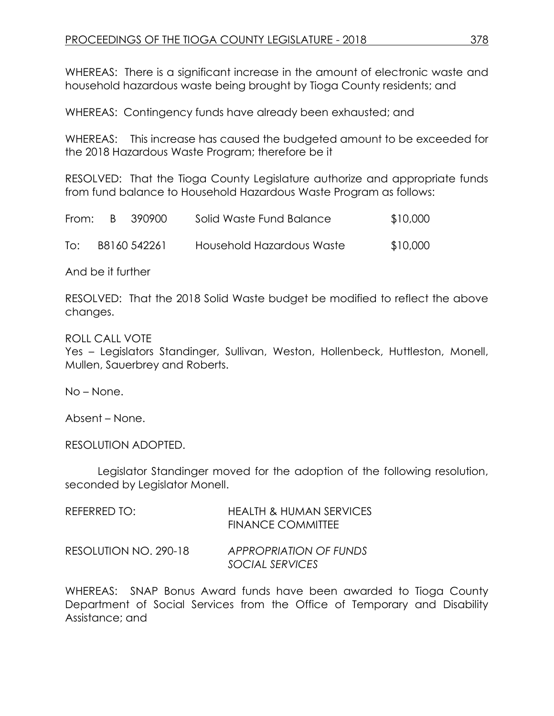WHEREAS: There is a significant increase in the amount of electronic waste and household hazardous waste being brought by Tioga County residents; and

WHEREAS: Contingency funds have already been exhausted; and

WHEREAS: This increase has caused the budgeted amount to be exceeded for the 2018 Hazardous Waste Program; therefore be it

RESOLVED: That the Tioga County Legislature authorize and appropriate funds from fund balance to Household Hazardous Waste Program as follows:

| From: | - B - | - 390900     | Solid Waste Fund Balance  | \$10,000 |
|-------|-------|--------------|---------------------------|----------|
| To:   |       | B8160 542261 | Household Hazardous Waste | \$10,000 |

And be it further

RESOLVED: That the 2018 Solid Waste budget be modified to reflect the above changes.

ROLL CALL VOTE

Yes – Legislators Standinger, Sullivan, Weston, Hollenbeck, Huttleston, Monell, Mullen, Sauerbrey and Roberts.

No – None.

Absent – None.

RESOLUTION ADOPTED.

Legislator Standinger moved for the adoption of the following resolution, seconded by Legislator Monell.

| REFERRED TO:          | <b>HEALTH &amp; HUMAN SERVICES</b><br><b>FINANCE COMMITTEE</b> |
|-----------------------|----------------------------------------------------------------|
| RESOLUTION NO. 290-18 | APPROPRIATION OF FUNDS<br>SOCIAL SERVICES                      |

WHEREAS: SNAP Bonus Award funds have been awarded to Tioga County Department of Social Services from the Office of Temporary and Disability Assistance; and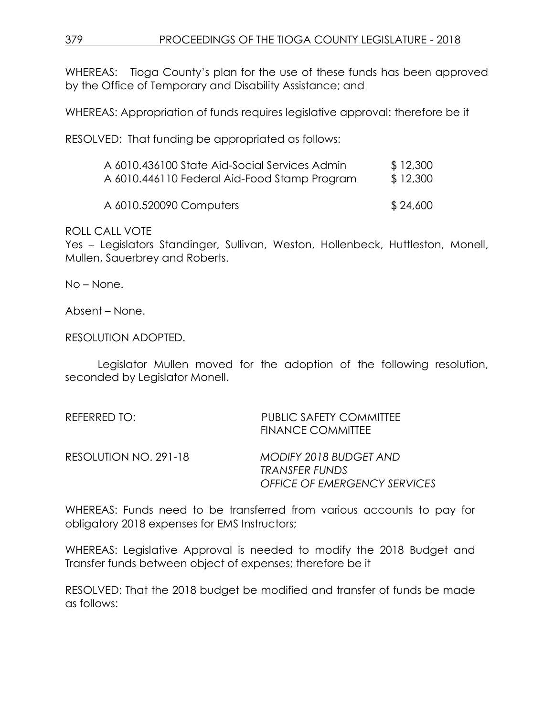WHEREAS: Tioga County's plan for the use of these funds has been approved by the Office of Temporary and Disability Assistance; and

WHEREAS: Appropriation of funds requires legislative approval: therefore be it

RESOLVED: That funding be appropriated as follows:

| A 6010.446110 Federal Aid-Food Stamp Program  | \$12,300 |
|-----------------------------------------------|----------|
| A 6010.436100 State Aid-Social Services Admin | \$12,300 |

A 6010.520090 Computers \$ 24,600

ROLL CALL VOTE

Yes – Legislators Standinger, Sullivan, Weston, Hollenbeck, Huttleston, Monell, Mullen, Sauerbrey and Roberts.

No – None.

Absent – None.

RESOLUTION ADOPTED.

Legislator Mullen moved for the adoption of the following resolution, seconded by Legislator Monell.

| REFERRED TO:          | <b>PUBLIC SAFETY COMMITTEE</b><br><b>FINANCE COMMITTEE</b>                             |
|-----------------------|----------------------------------------------------------------------------------------|
| RESOLUTION NO. 291-18 | MODIFY 2018 BUDGET AND<br><b>TRANSFER FUNDS</b><br><b>OFFICE OF EMERGENCY SERVICES</b> |

WHEREAS: Funds need to be transferred from various accounts to pay for obligatory 2018 expenses for EMS Instructors;

WHEREAS: Legislative Approval is needed to modify the 2018 Budget and Transfer funds between object of expenses; therefore be it

RESOLVED: That the 2018 budget be modified and transfer of funds be made as follows: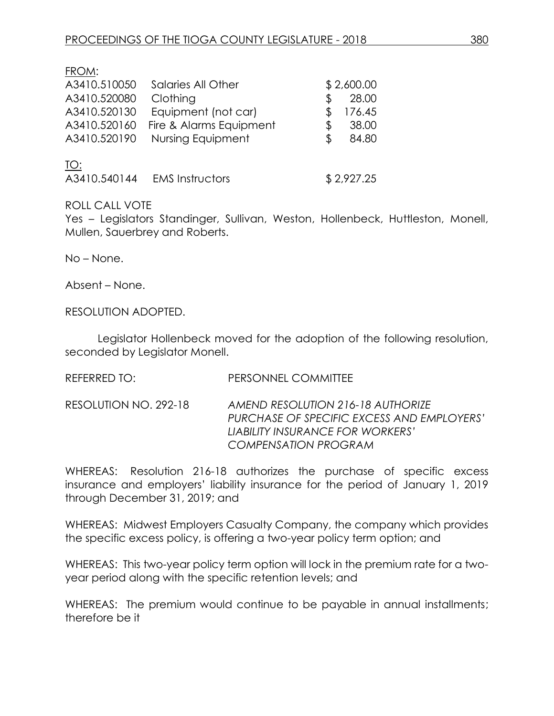FROM:

| A3410.510050 | Salaries All Other      |    | \$2,600.00 |
|--------------|-------------------------|----|------------|
| A3410.520080 | Clothing                | S  | 28.00      |
| A3410.520130 | Equipment (not car)     | S. | 176.45     |
| A3410.520160 | Fire & Alarms Equipment | S  | 38.00      |
| A3410.520190 | Nursing Equipment       |    | 84.80      |
| <u> TO:</u>  |                         |    |            |

| A3410.540144 | <b>EMS Instructors</b> | \$2,927.25 |
|--------------|------------------------|------------|
|              |                        |            |

### ROLL CALL VOTE

Yes – Legislators Standinger, Sullivan, Weston, Hollenbeck, Huttleston, Monell, Mullen, Sauerbrey and Roberts.

No – None.

Absent – None.

RESOLUTION ADOPTED.

Legislator Hollenbeck moved for the adoption of the following resolution, seconded by Legislator Monell.

REFERRED TO: PERSONNEL COMMITTEE

RESOLUTION NO. 292-18 *AMEND RESOLUTION 216-18 AUTHORIZE PURCHASE OF SPECIFIC EXCESS AND EMPLOYERS' LIABILITY INSURANCE FOR WORKERS' COMPENSATION PROGRAM*

WHEREAS: Resolution 216-18 authorizes the purchase of specific excess insurance and employers' liability insurance for the period of January 1, 2019 through December 31, 2019; and

WHEREAS: Midwest Employers Casualty Company, the company which provides the specific excess policy, is offering a two-year policy term option; and

WHEREAS: This two-year policy term option will lock in the premium rate for a twoyear period along with the specific retention levels; and

WHEREAS: The premium would continue to be payable in annual installments; therefore be it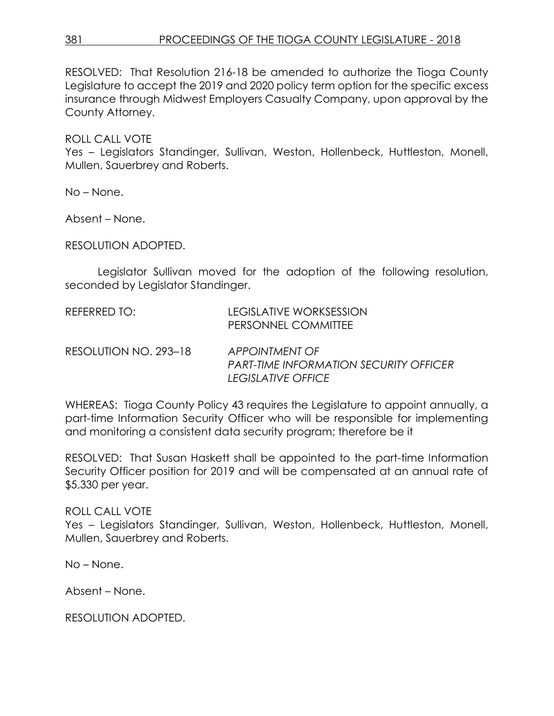RESOLVED: That Resolution 216-18 be amended to authorize the Tioga County Legislature to accept the 2019 and 2020 policy term option for the specific excess insurance through Midwest Employers Casualty Company, upon approval by the County Attorney.

# ROLL CALL VOTE

Yes – Legislators Standinger, Sullivan, Weston, Hollenbeck, Huttleston, Monell, Mullen, Sauerbrey and Roberts.

No – None.

Absent – None.

RESOLUTION ADOPTED.

Legislator Sullivan moved for the adoption of the following resolution, seconded by Legislator Standinger.

| REFERRED TO:          | LEGISLATIVE WORKSESSION<br>PERSONNEL COMMITTEE                                        |
|-----------------------|---------------------------------------------------------------------------------------|
| RESOLUTION NO. 293–18 | APPOINTMENT OF<br><b>PART-TIME INFORMATION SECURITY OFFICER</b><br>LEGISLATIVE OFFICE |

WHEREAS: Tioga County Policy 43 requires the Legislature to appoint annually, a part-time Information Security Officer who will be responsible for implementing and monitoring a consistent data security program; therefore be it

RESOLVED: That Susan Haskett shall be appointed to the part-time Information Security Officer position for 2019 and will be compensated at an annual rate of \$5,330 per year.

# ROLL CALL VOTE

Yes – Legislators Standinger, Sullivan, Weston, Hollenbeck, Huttleston, Monell, Mullen, Sauerbrey and Roberts.

No – None.

Absent – None.

RESOLUTION ADOPTED.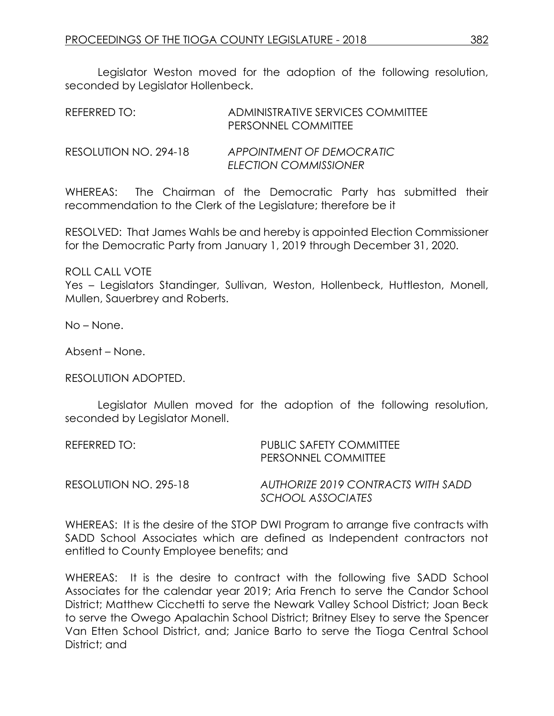Legislator Weston moved for the adoption of the following resolution, seconded by Legislator Hollenbeck.

| REFERRED TO:          | ADMINISTRATIVE SERVICES COMMITTEE<br>PERSONNEL COMMITTEE |
|-----------------------|----------------------------------------------------------|
| RESOLUTION NO. 294-18 | APPOINTMENT OF DEMOCRATIC<br>ELECTION COMMISSIONER       |

WHEREAS: The Chairman of the Democratic Party has submitted their recommendation to the Clerk of the Legislature; therefore be it

RESOLVED: That James Wahls be and hereby is appointed Election Commissioner for the Democratic Party from January 1, 2019 through December 31, 2020.

ROLL CALL VOTE

Yes – Legislators Standinger, Sullivan, Weston, Hollenbeck, Huttleston, Monell, Mullen, Sauerbrey and Roberts.

No – None.

Absent – None.

RESOLUTION ADOPTED.

Legislator Mullen moved for the adoption of the following resolution, seconded by Legislator Monell.

| REFERRED TO:          | PUBLIC SAFETY COMMITTEE<br><b>PERSONNEL COMMITTEE</b>   |
|-----------------------|---------------------------------------------------------|
| RESOLUTION NO. 295-18 | AUTHORIZE 2019 CONTRACTS WITH SADD<br>SCHOOL ASSOCIATES |

WHEREAS: It is the desire of the STOP DWI Program to arrange five contracts with SADD School Associates which are defined as Independent contractors not entitled to County Employee benefits; and

WHEREAS: It is the desire to contract with the following five SADD School Associates for the calendar year 2019; Aria French to serve the Candor School District; Matthew Cicchetti to serve the Newark Valley School District; Joan Beck to serve the Owego Apalachin School District; Britney Elsey to serve the Spencer Van Etten School District, and; Janice Barto to serve the Tioga Central School District; and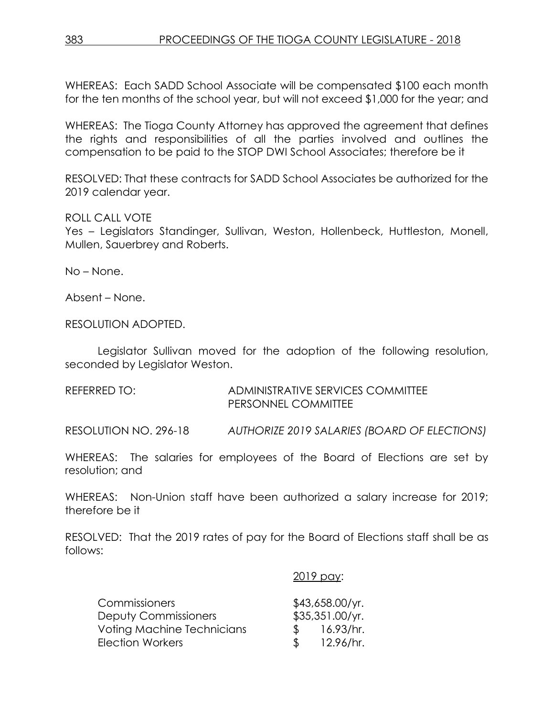WHEREAS: Each SADD School Associate will be compensated \$100 each month for the ten months of the school year, but will not exceed \$1,000 for the year; and

WHEREAS: The Tioga County Attorney has approved the agreement that defines the rights and responsibilities of all the parties involved and outlines the compensation to be paid to the STOP DWI School Associates; therefore be it

RESOLVED: That these contracts for SADD School Associates be authorized for the 2019 calendar year.

ROLL CALL VOTE

Yes – Legislators Standinger, Sullivan, Weston, Hollenbeck, Huttleston, Monell, Mullen, Sauerbrey and Roberts.

No – None.

Absent – None.

RESOLUTION ADOPTED.

Legislator Sullivan moved for the adoption of the following resolution, seconded by Legislator Weston.

REFERRED TO: ADMINISTRATIVE SERVICES COMMITTEE PERSONNEL COMMITTEE

RESOLUTION NO. 296-18 *AUTHORIZE 2019 SALARIES (BOARD OF ELECTIONS)*

WHEREAS: The salaries for employees of the Board of Elections are set by resolution; and

WHEREAS: Non-Union staff have been authorized a salary increase for 2019; therefore be it

RESOLVED: That the 2019 rates of pay for the Board of Elections staff shall be as follows:

# 2019 pay:

| <b>Commissioners</b>        |               | $$43,658.00$ /yr. |
|-----------------------------|---------------|-------------------|
| <b>Deputy Commissioners</b> |               | \$35,351.00/yr.   |
| Voting Machine Technicians  | $\mathcal{S}$ | 16.93/hr.         |
| Election Workers            | $\mathcal{S}$ | 12.96/hr.         |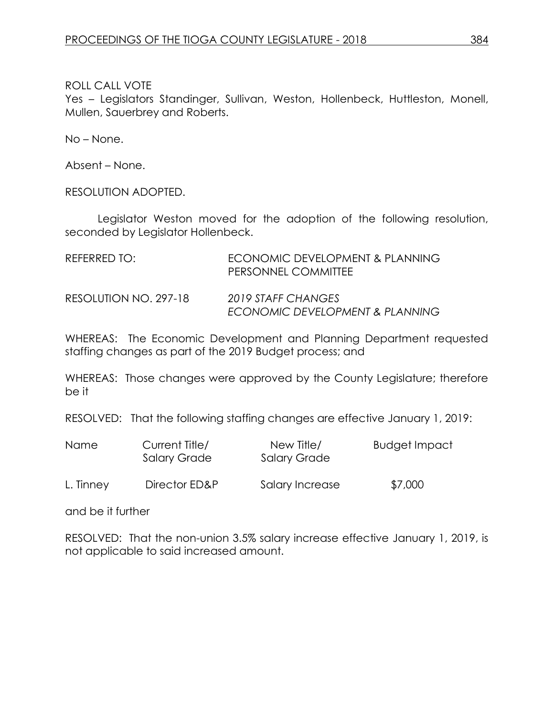Yes – Legislators Standinger, Sullivan, Weston, Hollenbeck, Huttleston, Monell, Mullen, Sauerbrey and Roberts.

No – None.

Absent – None.

RESOLUTION ADOPTED.

Legislator Weston moved for the adoption of the following resolution, seconded by Legislator Hollenbeck.

| REFERRED TO:          | ECONOMIC DEVELOPMENT & PLANNING<br>PERSONNEL COMMITTEE |
|-----------------------|--------------------------------------------------------|
| RESOLUTION NO. 297-18 | 2019 STAFF CHANGES<br>ECONOMIC DEVELOPMENT & PLANNING  |

WHEREAS: The Economic Development and Planning Department requested staffing changes as part of the 2019 Budget process; and

WHEREAS: Those changes were approved by the County Legislature; therefore be it

RESOLVED: That the following staffing changes are effective January 1, 2019:

| Name      | Current Title/<br><b>Salary Grade</b> | New Title/<br>Salary Grade | Budget Impact |
|-----------|---------------------------------------|----------------------------|---------------|
| L. Tinney | Director ED&P                         | Salary Increase            | \$7,000       |

and be it further

RESOLVED: That the non-union 3.5% salary increase effective January 1, 2019, is not applicable to said increased amount.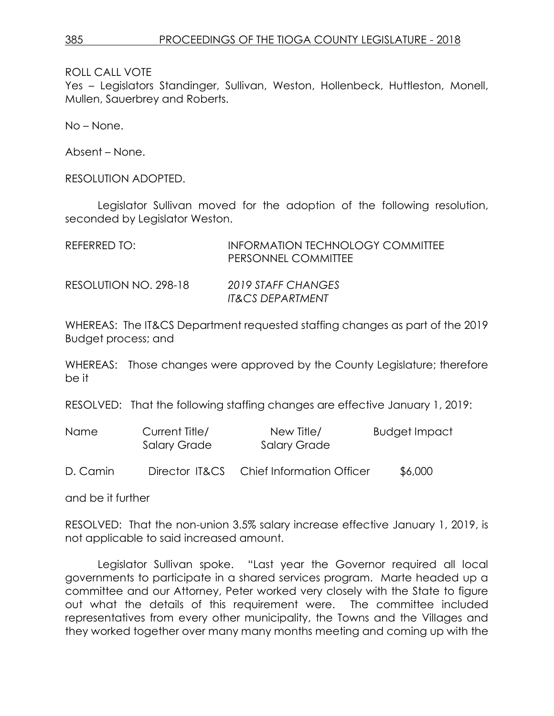Yes – Legislators Standinger, Sullivan, Weston, Hollenbeck, Huttleston, Monell, Mullen, Sauerbrey and Roberts.

No – None.

Absent – None.

RESOLUTION ADOPTED.

Legislator Sullivan moved for the adoption of the following resolution, seconded by Legislator Weston.

| REFERRED TO:          | <b>INFORMATION TECHNOLOGY COMMITTEE</b><br>PERSONNEL COMMITTEE |
|-----------------------|----------------------------------------------------------------|
| RESOLUTION NO. 298-18 | 2019 STAFF CHANGES<br><b>IT&amp;CS DEPARTMENT</b>              |

WHEREAS: The IT&CS Department requested staffing changes as part of the 2019 Budget process; and

WHEREAS: Those changes were approved by the County Legislature; therefore be it

RESOLVED: That the following staffing changes are effective January 1, 2019:

| Name | Current Title/ | New Title/   | <b>Budget Impact</b> |
|------|----------------|--------------|----------------------|
|      | Salary Grade   | Salary Grade |                      |
|      |                |              |                      |

D. Camin Director IT&CS Chief Information Officer \$6,000

and be it further

RESOLVED: That the non-union 3.5% salary increase effective January 1, 2019, is not applicable to said increased amount.

Legislator Sullivan spoke. "Last year the Governor required all local governments to participate in a shared services program. Marte headed up a committee and our Attorney, Peter worked very closely with the State to figure out what the details of this requirement were. The committee included representatives from every other municipality, the Towns and the Villages and they worked together over many many months meeting and coming up with the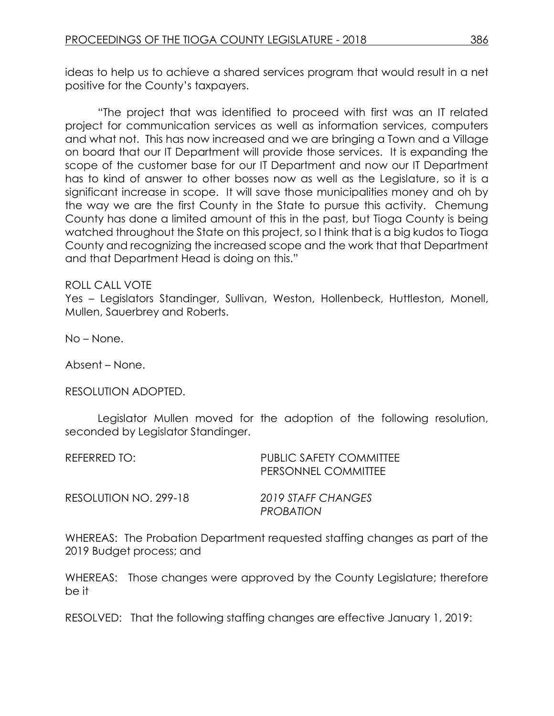ideas to help us to achieve a shared services program that would result in a net positive for the County's taxpayers.

"The project that was identified to proceed with first was an IT related project for communication services as well as information services, computers and what not. This has now increased and we are bringing a Town and a Village on board that our IT Department will provide those services. It is expanding the scope of the customer base for our IT Department and now our IT Department has to kind of answer to other bosses now as well as the Legislature, so it is a significant increase in scope. It will save those municipalities money and oh by the way we are the first County in the State to pursue this activity. Chemung County has done a limited amount of this in the past, but Tioga County is being watched throughout the State on this project, so I think that is a big kudos to Tioga County and recognizing the increased scope and the work that that Department and that Department Head is doing on this."

### ROLL CALL VOTE

Yes – Legislators Standinger, Sullivan, Weston, Hollenbeck, Huttleston, Monell, Mullen, Sauerbrey and Roberts.

No – None.

Absent – None.

RESOLUTION ADOPTED.

Legislator Mullen moved for the adoption of the following resolution, seconded by Legislator Standinger.

REFERRED TO: PUBLIC SAFETY COMMITTEE PERSONNEL COMMITTEE RESOLUTION NO. 299-18 *2019 STAFF CHANGES PROBATION* 

WHEREAS: The Probation Department requested staffing changes as part of the 2019 Budget process; and

WHEREAS: Those changes were approved by the County Legislature; therefore be it

RESOLVED: That the following staffing changes are effective January 1, 2019: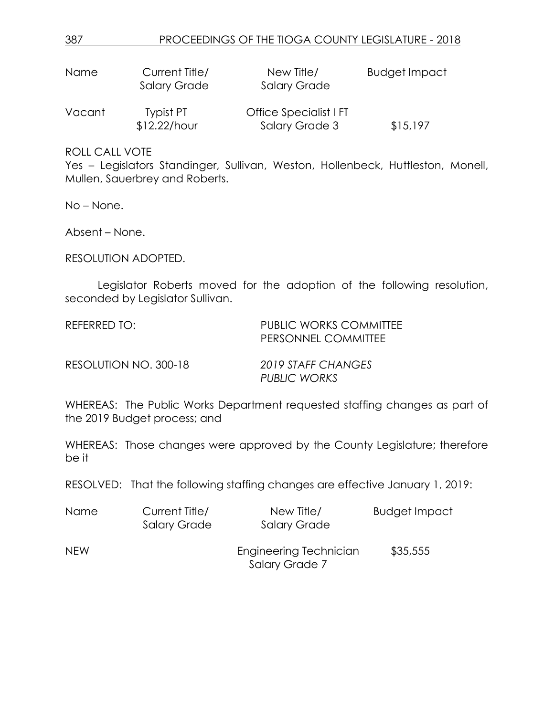| Name   | Current Title/<br><b>Salary Grade</b> | New Title/<br><b>Salary Grade</b>        | <b>Budget Impact</b> |
|--------|---------------------------------------|------------------------------------------|----------------------|
| Vacant | Typist PT<br>\$12.22/hour             | Office Specialist I FT<br>Salary Grade 3 | \$15,197             |

Yes – Legislators Standinger, Sullivan, Weston, Hollenbeck, Huttleston, Monell, Mullen, Sauerbrey and Roberts.

No – None.

Absent – None.

RESOLUTION ADOPTED.

Legislator Roberts moved for the adoption of the following resolution, seconded by Legislator Sullivan.

REFERRED TO: THE PUBLIC WORKS COMMITTEE PERSONNEL COMMITTEE

RESOLUTION NO. 300-18 *2019 STAFF CHANGES*

*PUBLIC WORKS*

WHEREAS: The Public Works Department requested staffing changes as part of the 2019 Budget process; and

WHEREAS: Those changes were approved by the County Legislature; therefore be it

RESOLVED: That the following staffing changes are effective January 1, 2019:

| Name       | Current Title/<br><b>Salary Grade</b> | New Title/<br><b>Salary Grade</b>        | <b>Budget Impact</b> |
|------------|---------------------------------------|------------------------------------------|----------------------|
| <b>NEW</b> |                                       | Engineering Technician<br>Salary Grade 7 | \$35,555             |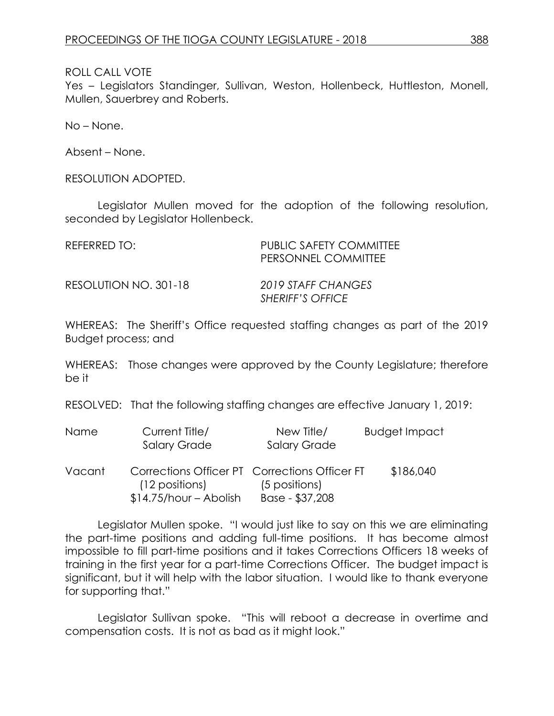Yes – Legislators Standinger, Sullivan, Weston, Hollenbeck, Huttleston, Monell, Mullen, Sauerbrey and Roberts.

No – None.

Absent – None.

RESOLUTION ADOPTED.

Legislator Mullen moved for the adoption of the following resolution, seconded by Legislator Hollenbeck.

| REFERRED TO:          | PUBLIC SAFETY COMMITTEE<br>PERSONNEL COMMITTEE |
|-----------------------|------------------------------------------------|
| RESOLUTION NO. 301-18 | 2019 STAFF CHANGES<br>SHERIFF'S OFFICE         |

WHEREAS: The Sheriff's Office requested staffing changes as part of the 2019 Budget process; and

WHEREAS: Those changes were approved by the County Legislature; therefore be it

RESOLVED: That the following staffing changes are effective January 1, 2019:

| Name   | Current Title/<br><b>Salary Grade</b>                                                      | New Title/<br><b>Salary Grade</b> | <b>Budget Impact</b> |
|--------|--------------------------------------------------------------------------------------------|-----------------------------------|----------------------|
| Vacant | Corrections Officer PT Corrections Officer FT<br>(12 positions)<br>$$14.75/hour - Abolish$ | (5 positions)<br>Base - \$37,208  | \$186,040            |

Legislator Mullen spoke. "I would just like to say on this we are eliminating the part-time positions and adding full-time positions. It has become almost impossible to fill part-time positions and it takes Corrections Officers 18 weeks of training in the first year for a part-time Corrections Officer. The budget impact is significant, but it will help with the labor situation. I would like to thank everyone for supporting that."

Legislator Sullivan spoke. "This will reboot a decrease in overtime and compensation costs. It is not as bad as it might look."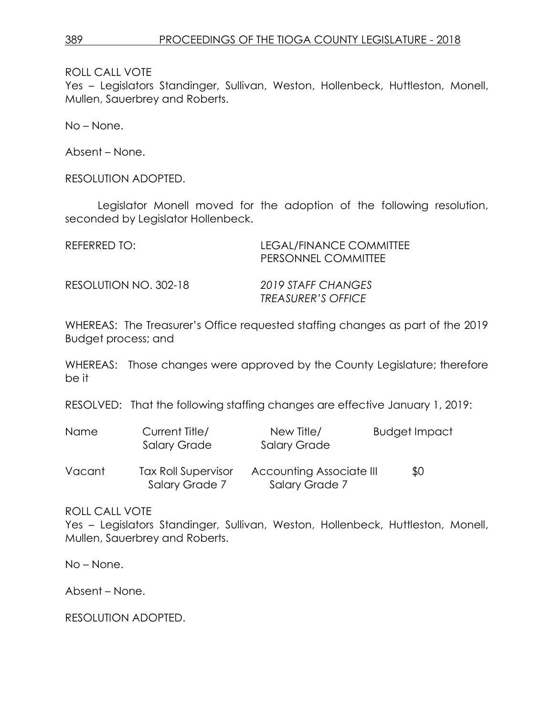Yes - Legislators Standinger, Sullivan, Weston, Hollenbeck, Huttleston, Monell, Mullen, Sauerbrey and Roberts.

No – None.

Absent – None.

RESOLUTION ADOPTED.

Legislator Monell moved for the adoption of the following resolution, seconded by Legislator Hollenbeck.

| REFERRED TO:          | LEGAL/FINANCE COMMITTEE<br>PERSONNEL COMMITTEE         |
|-----------------------|--------------------------------------------------------|
| RESOLUTION NO. 302-18 | 2019 STAFF CHANGES<br><i><b>TREASURER'S OFFICE</b></i> |

WHEREAS: The Treasurer's Office requested staffing changes as part of the 2019 Budget process; and

WHEREAS: Those changes were approved by the County Legislature; therefore be it

RESOLVED: That the following staffing changes are effective January 1, 2019:

| <b>Name</b> | Current Title/      | New Title/               | Budget Impact |
|-------------|---------------------|--------------------------|---------------|
|             | <b>Salary Grade</b> | <b>Salary Grade</b>      |               |
| Vacant      | Tax Roll Supervisor | Accounting Associate III | ደበ            |

Vacant Tax Roll Supervisor Accounting Associate III \$0 Salary Grade 7 Salary Grade 7

ROLL CALL VOTE

Yes - Legislators Standinger, Sullivan, Weston, Hollenbeck, Huttleston, Monell, Mullen, Sauerbrey and Roberts.

No – None.

Absent – None.

RESOLUTION ADOPTED.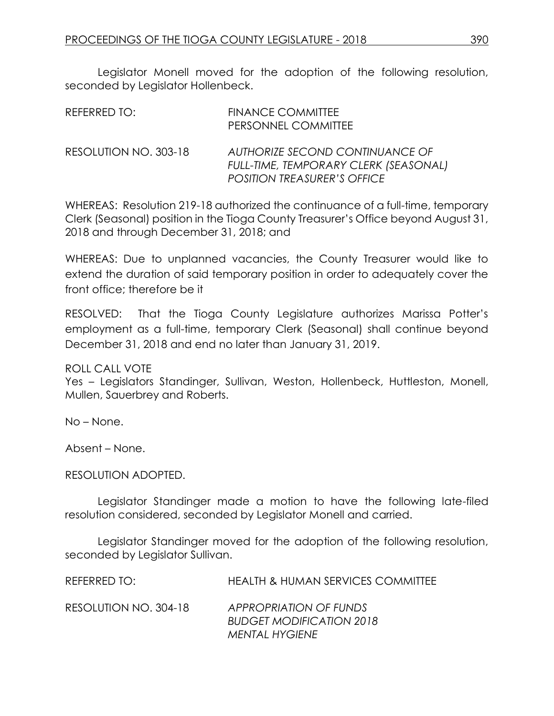Legislator Monell moved for the adoption of the following resolution, seconded by Legislator Hollenbeck.

| REFERRED TO:          | <b>FINANCE COMMITTEE</b><br>PERSONNEL COMMITTEE                                                                       |
|-----------------------|-----------------------------------------------------------------------------------------------------------------------|
| RESOLUTION NO. 303-18 | AUTHORIZE SECOND CONTINUANCE OF<br><b>FULL-TIME, TEMPORARY CLERK (SEASONAL)</b><br><b>POSITION TREASURER'S OFFICE</b> |

WHEREAS: Resolution 219-18 authorized the continuance of a full-time, temporary Clerk (Seasonal) position in the Tioga County Treasurer's Office beyond August 31, 2018 and through December 31, 2018; and

WHEREAS: Due to unplanned vacancies, the County Treasurer would like to extend the duration of said temporary position in order to adequately cover the front office; therefore be it

RESOLVED: That the Tioga County Legislature authorizes Marissa Potter's employment as a full-time, temporary Clerk (Seasonal) shall continue beyond December 31, 2018 and end no later than January 31, 2019.

ROLL CALL VOTE

Yes – Legislators Standinger, Sullivan, Weston, Hollenbeck, Huttleston, Monell, Mullen, Sauerbrey and Roberts.

No – None.

Absent – None.

#### RESOLUTION ADOPTED.

Legislator Standinger made a motion to have the following late-filed resolution considered, seconded by Legislator Monell and carried.

Legislator Standinger moved for the adoption of the following resolution, seconded by Legislator Sullivan.

| REFERRED TO:          | <b>HEALTH &amp; HUMAN SERVICES COMMITTEE</b>                                |
|-----------------------|-----------------------------------------------------------------------------|
| RESOLUTION NO. 304-18 | APPROPRIATION OF FUNDS<br><b>BUDGET MODIFICATION 2018</b><br>MENTAL HYGIENE |